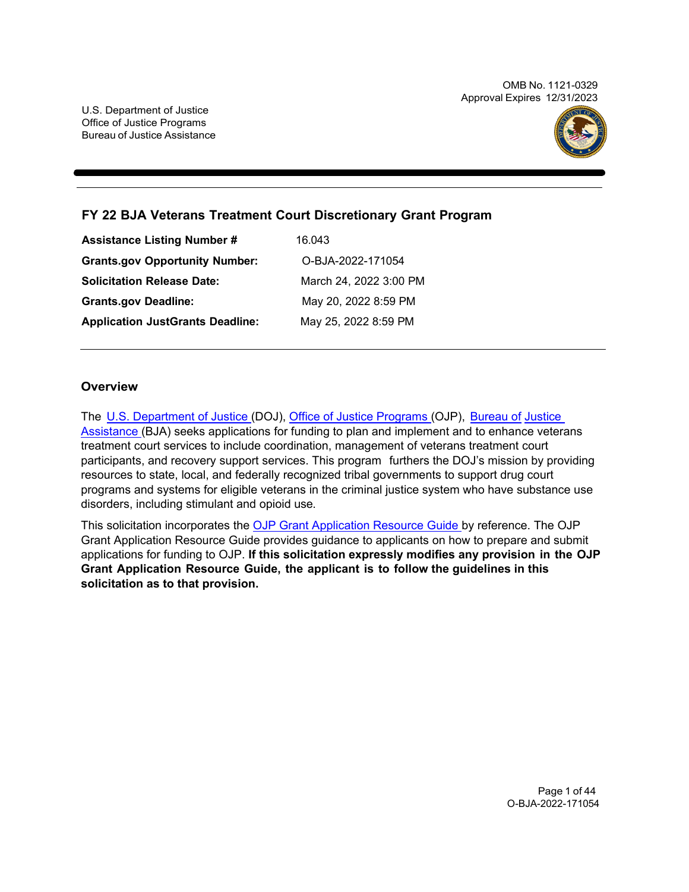OMB No. 1121-0329 Approval Expires 12/31/2023



# **FY 22 BJA Veterans Treatment Court Discretionary Grant Program**

| <b>Assistance Listing Number #</b>      | 16.043                 |
|-----------------------------------------|------------------------|
| <b>Grants.gov Opportunity Number:</b>   | O-BJA-2022-171054      |
| <b>Solicitation Release Date:</b>       | March 24, 2022 3:00 PM |
| <b>Grants.gov Deadline:</b>             | May 20, 2022 8:59 PM   |
| <b>Application JustGrants Deadline:</b> | May 25, 2022 8:59 PM   |

## **Overview**

The [U.S. Department of Justice \(](https://www.usdoj.gov/)DOJ), [Office of Justice Programs \(](https://www.ojp.usdoj.gov/)OJP), [Bureau of](https://bja.ojp.gov/) [Justice](https://bja.ojp.gov/)  [Assistance \(](https://bja.ojp.gov/)BJA) seeks applications for funding to plan and implement and to enhance veterans treatment court services to include coordination, management of veterans treatment court participants, and recovery support services. This program furthers the DOJ's mission by providing resources to state, local, and federally recognized tribal governments to support drug court programs and systems for eligible veterans in the criminal justice system who have substance use disorders, including stimulant and opioid use.

This solicitation incorporates the [OJP Grant Application Resource Guide b](https://www.ojp.gov/funding/Apply/Resources/Grant-App-Resource-Guide.htm)y reference. The OJP Grant Application Resource Guide provides guidance to applicants on how to prepare and submit applications for funding to OJP. **If this solicitation expressly modifies any provision in the OJP Grant Application Resource Guide, the applicant is to follow the guidelines in this solicitation as to that provision.**

> Page 1 of 44 O-BJA-2022-171054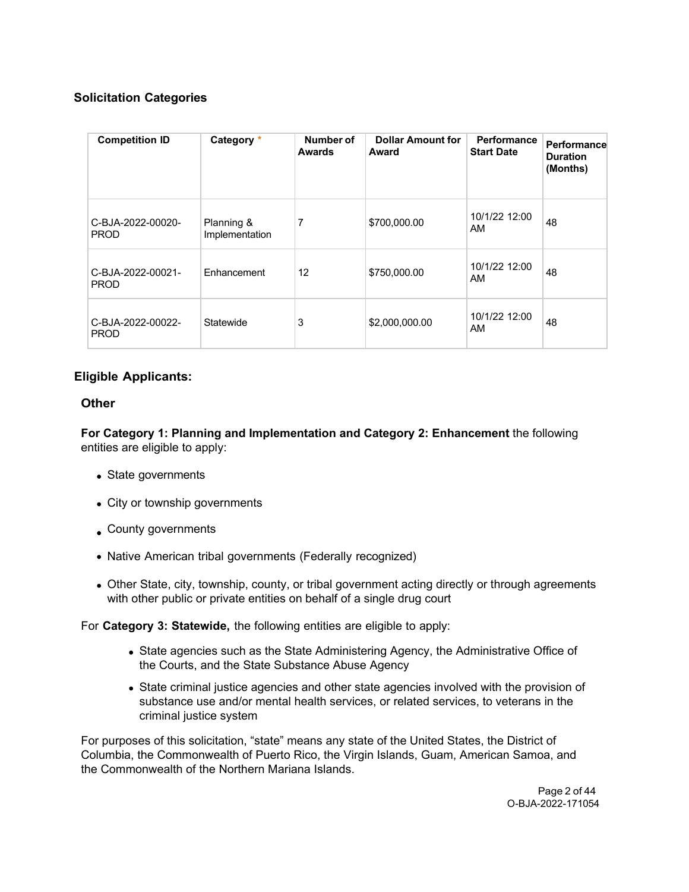# **Solicitation Categories**

| <b>Competition ID</b>            | Category *                   | Number of<br><b>Awards</b> | <b>Dollar Amount for</b><br>Award | Performance<br><b>Start Date</b> | Performance<br><b>Duration</b><br>(Months) |
|----------------------------------|------------------------------|----------------------------|-----------------------------------|----------------------------------|--------------------------------------------|
| C-BJA-2022-00020-<br><b>PROD</b> | Planning &<br>Implementation | 7                          | \$700,000.00                      | 10/1/22 12:00<br>AM              | 48                                         |
| C-BJA-2022-00021-<br><b>PROD</b> | Enhancement                  | 12                         | \$750,000.00                      | 10/1/22 12:00<br>AM              | 48                                         |
| C-BJA-2022-00022-<br><b>PROD</b> | Statewide                    | 3                          | \$2,000,000.00                    | 10/1/22 12:00<br>AM              | 48                                         |

# **Eligible Applicants:**

## **Other**

**For Category 1: Planning and Implementation and Category 2: Enhancement** the following entities are eligible to apply:

- State governments
- City or township governments
- County governments
- Native American tribal governments (Federally recognized)
- Other State, city, township, county, or tribal government acting directly or through agreements with other public or private entities on behalf of a single drug court

For **Category 3: Statewide,** the following entities are eligible to apply:

- State agencies such as the State Administering Agency, the Administrative Office of the Courts, and the State Substance Abuse Agency
- State criminal justice agencies and other state agencies involved with the provision of substance use and/or mental health services, or related services, to veterans in the criminal justice system

For purposes of this solicitation, "state" means any state of the United States, the District of Columbia, the Commonwealth of Puerto Rico, the Virgin Islands, Guam, American Samoa, and the Commonwealth of the Northern Mariana Islands.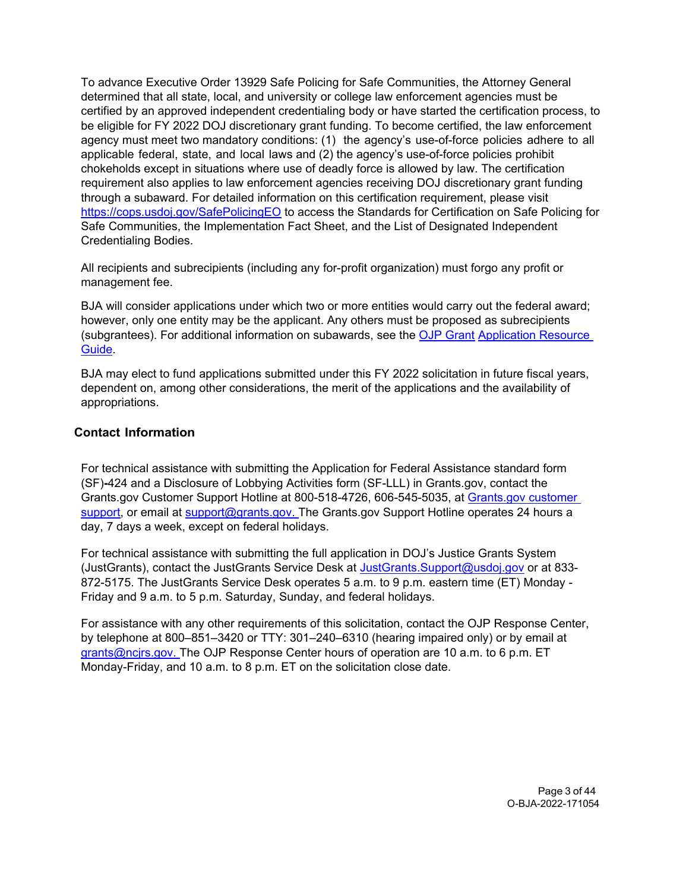To advance Executive Order 13929 Safe Policing for Safe Communities, the Attorney General determined that all state, local, and university or college law enforcement agencies must be certified by an approved independent credentialing body or have started the certification process, to be eligible for FY 2022 DOJ discretionary grant funding. To become certified, the law enforcement agency must meet two mandatory conditions: (1) the agency's use-of-force policies adhere to all applicable federal, state, and local laws and (2) the agency's use-of-force policies prohibit chokeholds except in situations where use of deadly force is allowed by law. The certification requirement also applies to law enforcement agencies receiving DOJ discretionary grant funding through a subaward. For detailed information on this certification requirement, please visit <https://cops.usdoj.gov/SafePolicingEO> to access the Standards for Certification on Safe Policing for Safe Communities, the Implementation Fact Sheet, and the List of Designated Independent Credentialing Bodies.

All recipients and subrecipients (including any for-profit organization) must forgo any profit or management fee.

BJA will consider applications under which two or more entities would carry out the federal award; however, only one entity may be the applicant. Any others must be proposed as subrecipients (subgrantees). For additional information on subawards, see the [OJP Grant](https://www.ojp.gov/funding/Apply/Resources/Grant-App-Resource-Guide.htm) [Application Resource](https://www.ojp.gov/funding/Apply/Resources/Grant-App-Resource-Guide.htm)  [Guide.](https://www.ojp.gov/funding/Apply/Resources/Grant-App-Resource-Guide.htm)

BJA may elect to fund applications submitted under this FY 2022 solicitation in future fiscal years, dependent on, among other considerations, the merit of the applications and the availability of appropriations.

## <span id="page-2-0"></span>**Contact Information**

For technical assistance with submitting the Application for Federal Assistance standard form (SF)**-**424 and a Disclosure of Lobbying Activities form (SF-LLL) in Grants.gov, contact the Grants.gov Customer Support Hotline at 800-518-4726, 606-545-5035, at [Grants.gov customer](https://www.grants.gov/web/grants/support.html)  [support,](https://www.grants.gov/web/grants/support.html) or email at [support@grants.gov. T](mailto:support@grants.gov)he Grants.gov Support Hotline operates 24 hours a day, 7 days a week, except on federal holidays.

For technical assistance with submitting the full application in DOJ's Justice Grants System (JustGrants), contact the JustGrants Service Desk at [JustGrants.Support@usdoj.gov](mailto:JustGrants.Support@usdoj.gov) or at 833- 872-5175. The JustGrants Service Desk operates 5 a.m. to 9 p.m. eastern time (ET) Monday - Friday and 9 a.m. to 5 p.m. Saturday, Sunday, and federal holidays.

For assistance with any other requirements of this solicitation, contact the OJP Response Center, by telephone at 800–851–3420 or TTY: 301–240–6310 (hearing impaired only) or by email at [grants@ncjrs.gov. T](mailto:grants@ncjrs.gov)he OJP Response Center hours of operation are 10 a.m. to 6 p.m. ET Monday-Friday, and 10 a.m. to 8 p.m. ET on the solicitation close date.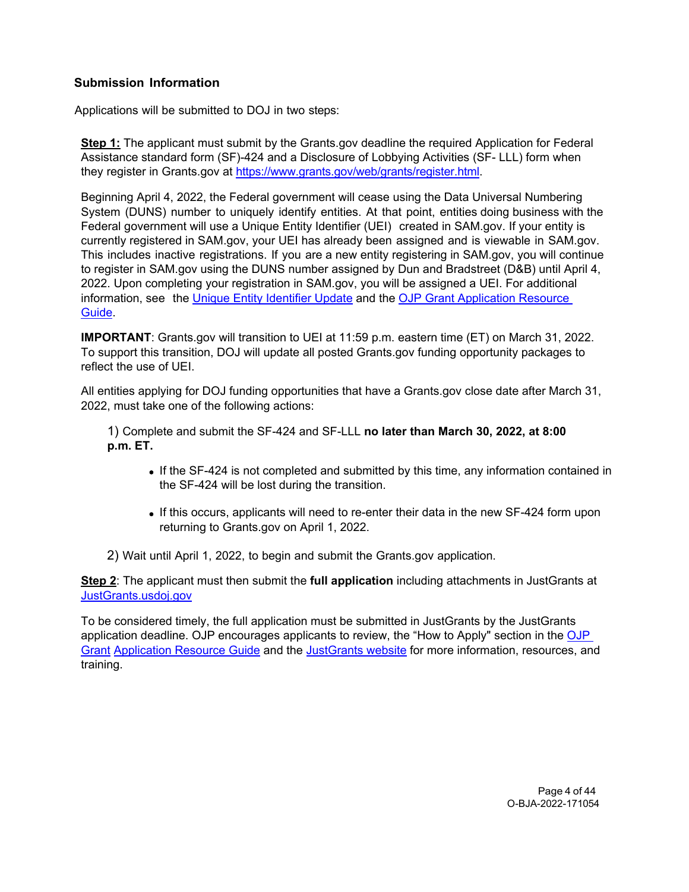# **Submission Information**

Applications will be submitted to DOJ in two steps:

**Step 1:** The applicant must submit by the Grants.gov deadline the required Application for Federal Assistance standard form (SF)-424 and a Disclosure of Lobbying Activities (SF- LLL) form when they register in Grants.gov at [https://www.grants.gov/web/grants/register.html.](https://www.grants.gov/web/grants/register.html)

Beginning April 4, 2022, the Federal government will cease using the Data Universal Numbering System (DUNS) number to uniquely identify entities. At that point, entities doing business with the Federal government will use a Unique Entity Identifier (UEI) created in SAM.gov. If your entity is currently registered in SAM.gov, your UEI has already been assigned and is viewable in SAM.gov. This includes inactive registrations. If you are a new entity registering in SAM.gov, you will continue to register in SAM.gov using the DUNS number assigned by Dun and Bradstreet (D&B) until April 4, 2022. Upon completing your registration in SAM.gov, you will be assigned a UEI. For additional information, see the [Unique Entity Identifier Update](https://www.gsa.gov/about-us/organization/federal-acquisition-service/office-of-systems-management/integrated-award-environment-iae/iae-systems-information-kit/unique-entity-identifier-update) and the [OJP Grant Application Resource](https://www.ojp.gov/funding/apply/ojp-grant-application-resource-guide#unique-entity)  [Guide.](https://www.ojp.gov/funding/apply/ojp-grant-application-resource-guide#unique-entity)

**IMPORTANT**: Grants.gov will transition to UEI at 11:59 p.m. eastern time (ET) on March 31, 2022. To support this transition, DOJ will update all posted Grants.gov funding opportunity packages to reflect the use of UEI.

All entities applying for DOJ funding opportunities that have a Grants.gov close date after March 31, 2022, must take one of the following actions:

1) Complete and submit the SF-424 and SF-LLL **no later than March 30, 2022, at 8:00 p.m. ET.**

- If the SF-424 is not completed and submitted by this time, any information contained in the SF-424 will be lost during the transition.
- If this occurs, applicants will need to re-enter their data in the new SF-424 form upon returning to Grants.gov on April 1, 2022.
- 2) Wait until April 1, 2022, to begin and submit the Grants.gov application.

**Step 2**: The applicant must then submit the **full application** including attachments in JustGrants at [JustGrants.usdoj.gov](https://justicegrants.usdoj.gov/)

To be considered timely, the full application must be submitted in JustGrants by the JustGrants application deadline. OJP encourages applicants to review, the "How to Apply" section in the [OJP](https://www.ojp.gov/funding/apply/ojp-grant-application-resource-guide#apply)  [Grant](https://www.ojp.gov/funding/apply/ojp-grant-application-resource-guide#apply) [Application Resource Guide](https://www.ojp.gov/funding/apply/ojp-grant-application-resource-guide#apply) and the [JustGrants website](https://justicegrants.usdoj.gov/news) for more information, resources, and training.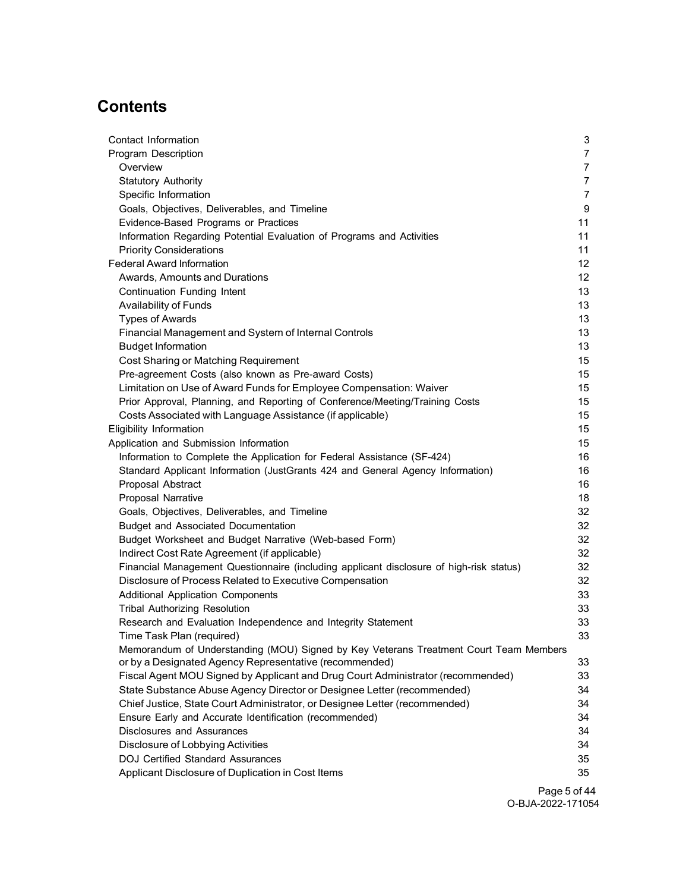# **Contents**

| Contact Information                                                                     | 3               |
|-----------------------------------------------------------------------------------------|-----------------|
| <b>Program Description</b>                                                              | $\overline{7}$  |
| Overview                                                                                | $\overline{7}$  |
| <b>Statutory Authority</b>                                                              | $\overline{7}$  |
| Specific Information                                                                    | $\overline{7}$  |
| Goals, Objectives, Deliverables, and Timeline                                           | 9               |
| Evidence-Based Programs or Practices                                                    | 11              |
| Information Regarding Potential Evaluation of Programs and Activities                   | 11              |
| <b>Priority Considerations</b>                                                          | 11              |
| <b>Federal Award Information</b>                                                        | 12              |
| Awards, Amounts and Durations                                                           | 12 <sup>2</sup> |
| Continuation Funding Intent                                                             | 13              |
| Availability of Funds                                                                   | 13              |
| <b>Types of Awards</b>                                                                  | 13              |
| Financial Management and System of Internal Controls                                    | 13              |
| <b>Budget Information</b>                                                               | 13              |
| Cost Sharing or Matching Requirement                                                    | 15              |
| Pre-agreement Costs (also known as Pre-award Costs)                                     | 15              |
| Limitation on Use of Award Funds for Employee Compensation: Waiver                      | 15              |
| Prior Approval, Planning, and Reporting of Conference/Meeting/Training Costs            | 15              |
| Costs Associated with Language Assistance (if applicable)                               | 15              |
| Eligibility Information                                                                 | 15              |
| Application and Submission Information                                                  | 15              |
| Information to Complete the Application for Federal Assistance (SF-424)                 | 16              |
| Standard Applicant Information (JustGrants 424 and General Agency Information)          | 16              |
| Proposal Abstract                                                                       | 16              |
| Proposal Narrative                                                                      | 18              |
| Goals, Objectives, Deliverables, and Timeline                                           | 32              |
| <b>Budget and Associated Documentation</b>                                              | 32              |
| Budget Worksheet and Budget Narrative (Web-based Form)                                  | 32              |
| Indirect Cost Rate Agreement (if applicable)                                            | 32              |
| Financial Management Questionnaire (including applicant disclosure of high-risk status) | 32              |
| Disclosure of Process Related to Executive Compensation                                 | 32              |
| <b>Additional Application Components</b>                                                | 33              |
| <b>Tribal Authorizing Resolution</b>                                                    | 33              |
| Research and Evaluation Independence and Integrity Statement                            | 33              |
| Time Task Plan (required)                                                               | 33              |
| Memorandum of Understanding (MOU) Signed by Key Veterans Treatment Court Team Members   |                 |
| or by a Designated Agency Representative (recommended)                                  | 33              |
| Fiscal Agent MOU Signed by Applicant and Drug Court Administrator (recommended)         | 33              |
| State Substance Abuse Agency Director or Designee Letter (recommended)                  | 34              |
| Chief Justice, State Court Administrator, or Designee Letter (recommended)              | 34              |
| Ensure Early and Accurate Identification (recommended)                                  | 34              |
| Disclosures and Assurances                                                              | 34              |
| Disclosure of Lobbying Activities                                                       | 34              |
| <b>DOJ Certified Standard Assurances</b>                                                | 35              |
| Applicant Disclosure of Duplication in Cost Items                                       | 35              |

Page 5 of 44 O-BJA-2022-171054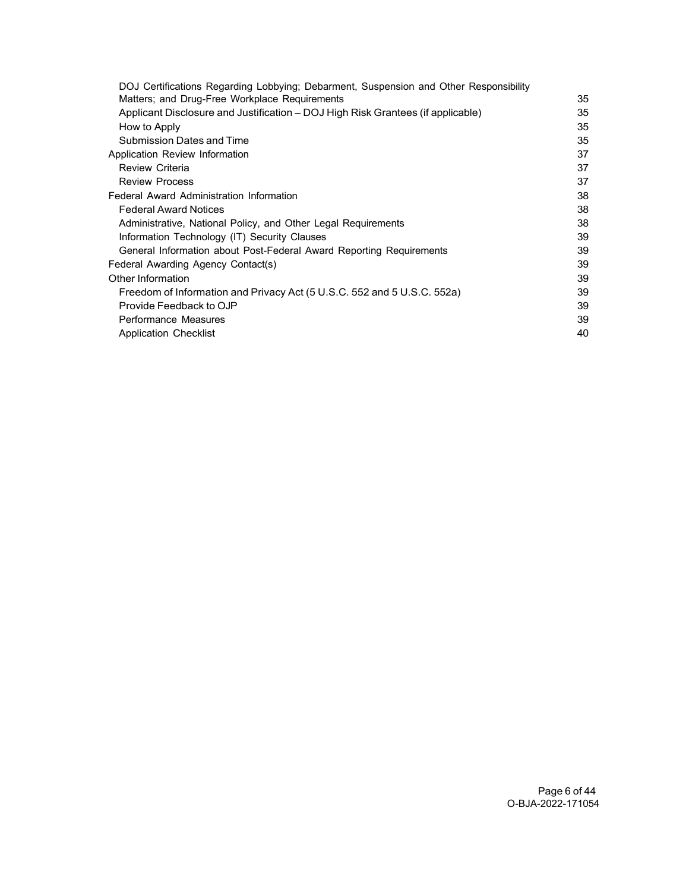| DOJ Certifications Regarding Lobbying; Debarment, Suspension and Other Responsibility |    |
|---------------------------------------------------------------------------------------|----|
| Matters; and Drug-Free Workplace Requirements                                         | 35 |
| Applicant Disclosure and Justification – DOJ High Risk Grantees (if applicable)       | 35 |
| How to Apply                                                                          | 35 |
| Submission Dates and Time                                                             | 35 |
| Application Review Information                                                        | 37 |
| <b>Review Criteria</b>                                                                | 37 |
| <b>Review Process</b>                                                                 | 37 |
| Federal Award Administration Information                                              | 38 |
| <b>Federal Award Notices</b>                                                          | 38 |
| Administrative, National Policy, and Other Legal Requirements                         | 38 |
| Information Technology (IT) Security Clauses                                          | 39 |
| General Information about Post-Federal Award Reporting Requirements                   | 39 |
| Federal Awarding Agency Contact(s)                                                    | 39 |
| Other Information                                                                     | 39 |
| Freedom of Information and Privacy Act (5 U.S.C. 552 and 5 U.S.C. 552a)               | 39 |
| Provide Feedback to OJP                                                               | 39 |
| Performance Measures                                                                  | 39 |
| <b>Application Checklist</b>                                                          | 40 |
|                                                                                       |    |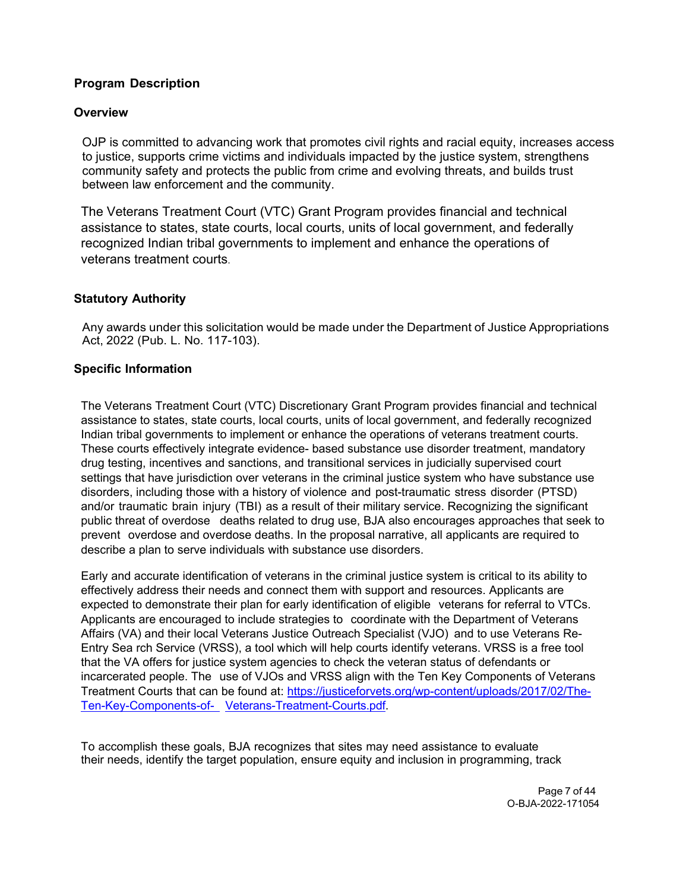# **Program Description**

## <span id="page-6-0"></span>**Overview**

OJP is committed to advancing work that promotes civil rights and racial equity, increases access to justice, supports crime victims and individuals impacted by the justice system, strengthens community safety and protects the public from crime and evolving threats, and builds trust between law enforcement and the community.

The Veterans Treatment Court (VTC) Grant Program provides financial and technical assistance to states, state courts, local courts, units of local government, and federally recognized Indian tribal governments to implement and enhance the operations of veterans treatment courts.

## **Statutory Authority**

<span id="page-6-1"></span>Any awards under this solicitation would be made under the Department of Justice Appropriations Act, 2022 (Pub. L. No. 117-103).

## <span id="page-6-2"></span>**Specific Information**

The Veterans Treatment Court (VTC) Discretionary Grant Program provides financial and technical assistance to states, state courts, local courts, units of local government, and federally recognized Indian tribal governments to implement or enhance the operations of veterans treatment courts. These courts effectively integrate evidence- based substance use disorder treatment, mandatory drug testing, incentives and sanctions, and transitional services in judicially supervised court settings that have jurisdiction over veterans in the criminal justice system who have substance use disorders, including those with a history of violence and post-traumatic stress disorder (PTSD) and/or traumatic brain injury (TBI) as a result of their military service. Recognizing the significant public threat of overdose deaths related to drug use, BJA also encourages approaches that seek to prevent overdose and overdose deaths. In the proposal narrative, all applicants are required to describe a plan to serve individuals with substance use disorders.

Early and accurate identification of veterans in the criminal justice system is critical to its ability to effectively address their needs and connect them with support and resources. Applicants are expected to demonstrate their plan for early identification of eligible veterans for referral to VTCs. Applicants are encouraged to include strategies to coordinate with the Department of Veterans Affairs (VA) and their local Veterans Justice Outreach Specialist (VJO) and to use Veterans Re-Entry Sea rch Service (VRSS), a tool which will help courts identify veterans. VRSS is a free tool that the VA offers for justice system agencies to check the veteran status of defendants or incarcerated people. The use of VJOs and VRSS align with the Ten Key Components of Veterans Treatment Courts that can be found at: [https://justiceforvets.org/wp-content/uploads/2017/02/The-](https://justiceforvets.org/wp-content/uploads/2017/02/The-Ten-Key-Components-of-)[Ten-Key-Components-of-](https://justiceforvets.org/wp-content/uploads/2017/02/The-Ten-Key-Components-of-) [Veterans-Treatment-Courts.pdf.](https://justiceforvets.org/wp-content/uploads/2017/02/The-Ten-Key-Components-of-Veterans-Treatment-Courts.pdf)

To accomplish these goals, BJA recognizes that sites may need assistance to evaluate their needs, identify the target population, ensure equity and inclusion in programming, track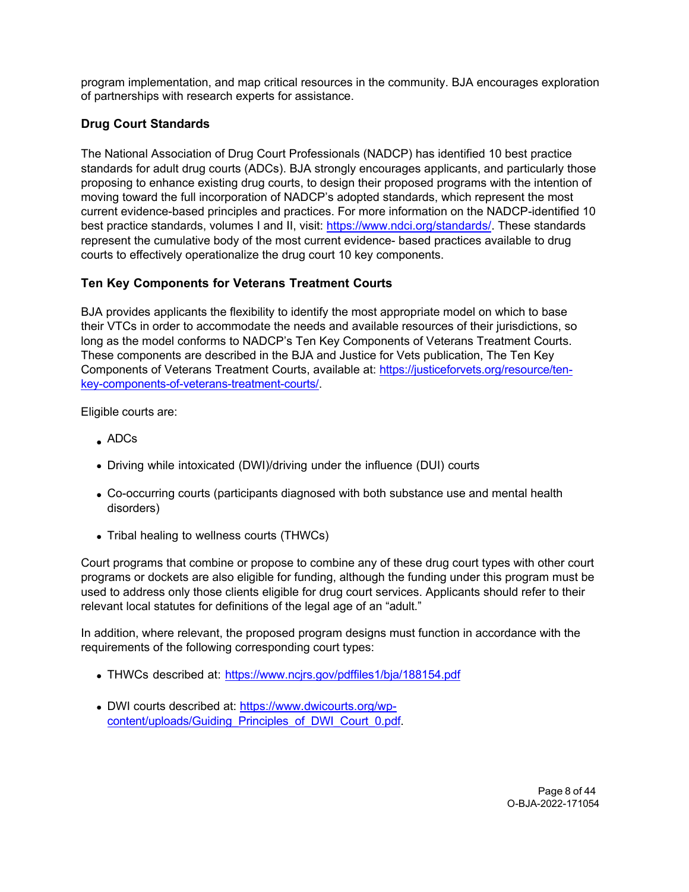program implementation, and map critical resources in the community. BJA encourages exploration of partnerships with research experts for assistance.

# **Drug Court Standards**

The National Association of Drug Court Professionals (NADCP) has identified 10 best practice standards for adult drug courts (ADCs). BJA strongly encourages applicants, and particularly those proposing to enhance existing drug courts, to design their proposed programs with the intention of moving toward the full incorporation of NADCP's adopted standards, which represent the most current evidence-based principles and practices. For more information on the NADCP-identified 10 best practice standards, volumes I and II, visit: [https://www.ndci.org/standards/.](https://www.ndci.org/standards/) These standards represent the cumulative body of the most current evidence- based practices available to drug courts to effectively operationalize the drug court 10 key components.

# **Ten Key Components for Veterans Treatment Courts**

BJA provides applicants the flexibility to identify the most appropriate model on which to base their VTCs in order to accommodate the needs and available resources of their jurisdictions, so long as the model conforms to NADCP's Ten Key Components of Veterans Treatment Courts. These components are described in the BJA and Justice for Vets publication, The Ten Key Components of Veterans Treatment Courts, available at: [https://justiceforvets.org/resource/ten](https://justiceforvets.org/resource/ten-key-components-of-veterans-treatment-courts/)[key-components-of-veterans-treatment-courts/.](https://justiceforvets.org/resource/ten-key-components-of-veterans-treatment-courts/)

Eligible courts are:

- ADCs
- Driving while intoxicated (DWI)/driving under the influence (DUI) courts
- Co-occurring courts (participants diagnosed with both substance use and mental health disorders)
- Tribal healing to wellness courts (THWCs)

Court programs that combine or propose to combine any of these drug court types with other court programs or dockets are also eligible for funding, although the funding under this program must be used to address only those clients eligible for drug court services. Applicants should refer to their relevant local statutes for definitions of the legal age of an "adult."

In addition, where relevant, the proposed program designs must function in accordance with the requirements of the following corresponding court types:

- THWCs described at: <https://www.ncjrs.gov/pdffiles1/bja/188154.pdf>
- DWI courts described at: [https://www.dwicourts.org/wp](https://www.dwicourts.org/wp-content/uploads/Guiding_Principles_of_DWI_Court_0.pdf)[content/uploads/Guiding\\_Principles\\_of\\_DWI\\_Court\\_0.pdf.](https://www.dwicourts.org/wp-content/uploads/Guiding_Principles_of_DWI_Court_0.pdf)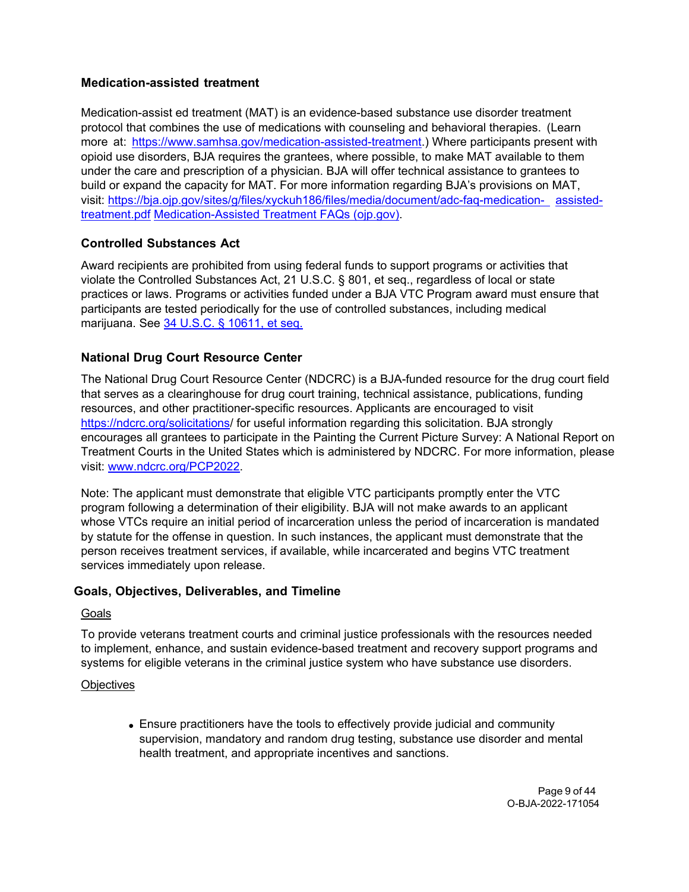# **Medication-assisted treatment**

Medication-assist ed treatment (MAT) is an evidence-based substance use disorder treatment protocol that combines the use of medications with counseling and behavioral therapies. (Learn more at: [https://www.samhsa.gov/medication-assisted-treatment.](https://www.samhsa.gov/medication-assisted-treatment)) Where participants present with opioid use disorders, BJA requires the grantees, where possible, to make MAT available to them under the care and prescription of a physician. BJA will offer technical assistance to grantees to build or expand the capacity for MAT. For more information regarding BJA's provisions on MAT, visit: [https://bja.ojp.gov/sites/g/files/xyckuh186/files/media/document/adc-faq-medication- assisted](https://bja.ojp.gov/sites/g/files/xyckuh186/files/media/document/adc-faq-medication-assisted-treatment.pdf)[treatment.pdf](https://bja.ojp.gov/sites/g/files/xyckuh186/files/media/document/adc-faq-medication-assisted-treatment.pdf) [Medication-Assisted Treatment FAQs \(ojp.gov\).](https://bja.ojp.gov/sites/g/files/xyckuh186/files/media/document/adc-faq-medication-assisted-treatment.pdf)

## **Controlled Substances Act**

Award recipients are prohibited from using federal funds to support programs or activities that violate the Controlled Substances Act, 21 U.S.C. § 801, et seq., regardless of local or state practices or laws. Programs or activities funded under a BJA VTC Program award must ensure that participants are tested periodically for the use of controlled substances, including medical marijuana. See [34 U.S.C. § 10611, et seq.](https://www.law.cornell.edu/uscode/text/34/10611)

## **National Drug Court Resource Center**

The National Drug Court Resource Center (NDCRC) is a BJA-funded resource for the drug court field that serves as a clearinghouse for drug court training, technical assistance, publications, funding resources, and other practitioner-specific resources. Applicants are encouraged to visit [https://ndcrc.org/solicitations/](https://ndcrc.org/solicitations) for useful information regarding this solicitation. BJA strongly encourages all grantees to participate in the Painting the Current Picture Survey: A National Report on Treatment Courts in the United States which is administered by NDCRC. For more information, please visit: [www.ndcrc.org/PCP2022.](https://protect2.fireeye.com/v1/url?k=965b9ed4-c9c0a619-965cba31-ac1f6b017728-bceadbdc63fbc86c&q=1&e=0f81d252-4065-4802-94ba-22bc607ca919&u=http%3A%2F%2Fwww.ndcrc.org%2FPCP2022)

Note: The applicant must demonstrate that eligible VTC participants promptly enter the VTC program following a determination of their eligibility. BJA will not make awards to an applicant whose VTCs require an initial period of incarceration unless the period of incarceration is mandated by statute for the offense in question. In such instances, the applicant must demonstrate that the person receives treatment services, if available, while incarcerated and begins VTC treatment services immediately upon release.

## <span id="page-8-0"></span>**Goals, Objectives, Deliverables, and Timeline**

#### **Goals**

To provide veterans treatment courts and criminal justice professionals with the resources needed to implement, enhance, and sustain evidence-based treatment and recovery support programs and systems for eligible veterans in the criminal justice system who have substance use disorders.

#### **Objectives**

Ensure practitioners have the tools to effectively provide judicial and community supervision, mandatory and random drug testing, substance use disorder and mental health treatment, and appropriate incentives and sanctions.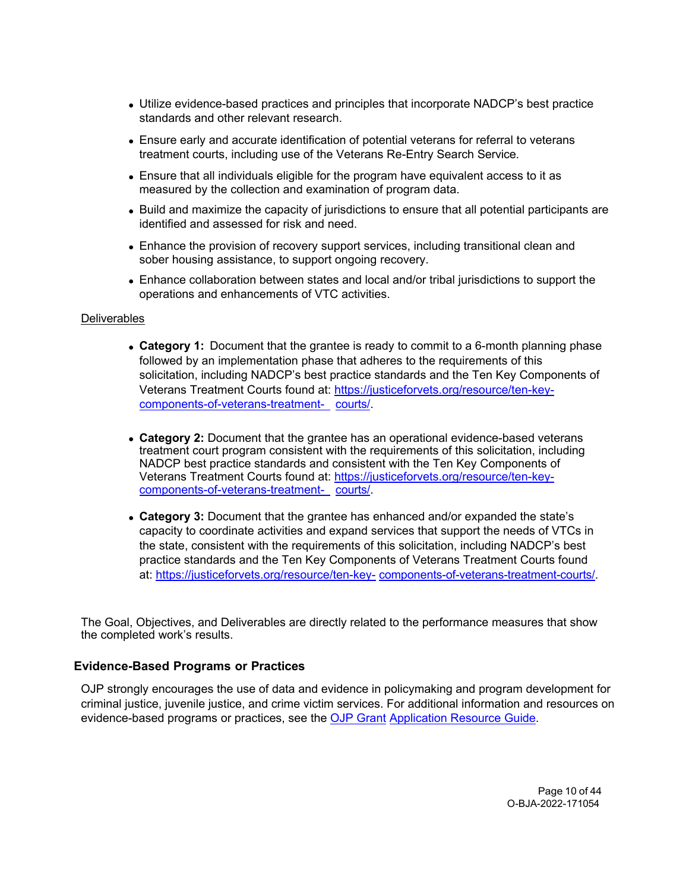- Utilize evidence-based practices and principles that incorporate NADCP's best practice standards and other relevant research.
- Ensure early and accurate identification of potential veterans for referral to veterans treatment courts, including use of the Veterans Re-Entry Search Service.
- Ensure that all individuals eligible for the program have equivalent access to it as measured by the collection and examination of program data.
- Build and maximize the capacity of jurisdictions to ensure that all potential participants are identified and assessed for risk and need.
- Enhance the provision of recovery support services, including transitional clean and sober housing assistance, to support ongoing recovery.
- Enhance collaboration between states and local and/or tribal jurisdictions to support the operations and enhancements of VTC activities.

#### **Deliverables**

- **Category 1:** Document that the grantee is ready to commit to a 6-month planning phase followed by an implementation phase that adheres to the requirements of this solicitation, including NADCP's best practice standards and the Ten Key Components of Veterans Treatment Courts found at: [https://justiceforvets.org/resource/ten-key](https://justiceforvets.org/resource/ten-key-components-of-veterans-treatment-courts/)[components-of-veterans-treatment-](https://justiceforvets.org/resource/ten-key-components-of-veterans-treatment-courts/) [courts/.](https://justiceforvets.org/resource/ten-key-components-of-veterans-treatment-courts/)
- **Category 2:** Document that the grantee has an operational evidence-based veterans treatment court program consistent with the requirements of this solicitation, including NADCP best practice standards and consistent with the Ten Key Components of Veterans Treatment Courts found at: [https://justiceforvets.org/resource/ten-key](https://justiceforvets.org/resource/ten-key-components-of-veterans-treatment-courts/)[components-of-veterans-treatment-](https://justiceforvets.org/resource/ten-key-components-of-veterans-treatment-courts/) [courts/.](https://justiceforvets.org/resource/ten-key-components-of-veterans-treatment-courts/)
- **Category 3:** Document that the grantee has enhanced and/or expanded the state's capacity to coordinate activities and expand services that support the needs of VTCs in the state, consistent with the requirements of this solicitation, including NADCP's best practice standards and the Ten Key Components of Veterans Treatment Courts found at: [https://justiceforvets.org/resource/ten-key-](https://justiceforvets.org/resource/ten-key-components-of-veterans-treatment-courts/) [components-of-veterans-treatment-courts/.](https://justiceforvets.org/resource/ten-key-components-of-veterans-treatment-courts/)

The Goal, Objectives, and Deliverables are directly related to the performance measures that show the completed work's results.

## <span id="page-9-0"></span>**Evidence-Based Programs or Practices**

OJP strongly encourages the use of data and evidence in policymaking and program development for criminal justice, juvenile justice, and crime victim services. For additional information and resources on evidence-based programs or practices, see the [OJP Grant](https://www.ojp.gov/funding/apply/ojp-grant-application-resource-guide#evidence-based) [Application Resource Guide.](https://www.ojp.gov/funding/apply/ojp-grant-application-resource-guide#evidence-based)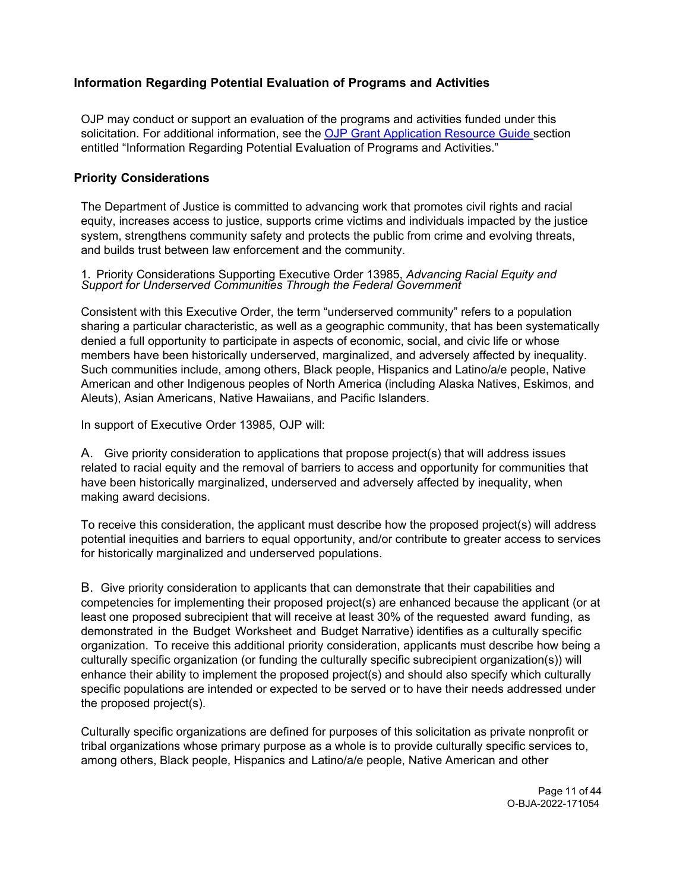# **Information Regarding Potential Evaluation of Programs and Activities**

OJP may conduct or support an evaluation of the programs and activities funded under this solicitation. For additional information, see the [OJP Grant Application Resource Guide s](https://www.ojp.gov/funding/apply/ojp-grant-application-resource-guide#potential-evaluation)ection entitled "Information Regarding Potential Evaluation of Programs and Activities."

## <span id="page-10-0"></span>**Priority Considerations**

The Department of Justice is committed to advancing work that promotes civil rights and racial equity, increases access to justice, supports crime victims and individuals impacted by the justice system, strengthens community safety and protects the public from crime and evolving threats, and builds trust between law enforcement and the community.

# 1. Priority Considerations Supporting Executive Order 13985, *Advancing Racial Equity and Support for Underserved Communities Through the Federal Government*

Consistent with this Executive Order, the term "underserved community" refers to a population sharing a particular characteristic, as well as a geographic community, that has been systematically denied a full opportunity to participate in aspects of economic, social, and civic life or whose members have been historically underserved, marginalized, and adversely affected by inequality. Such communities include, among others, Black people, Hispanics and Latino/a/e people, Native American and other Indigenous peoples of North America (including Alaska Natives, Eskimos, and Aleuts), Asian Americans, Native Hawaiians, and Pacific Islanders.

In support of Executive Order 13985, OJP will:

A. Give priority consideration to applications that propose project(s) that will address issues related to racial equity and the removal of barriers to access and opportunity for communities that have been historically marginalized, underserved and adversely affected by inequality, when making award decisions.

To receive this consideration, the applicant must describe how the proposed project(s) will address potential inequities and barriers to equal opportunity, and/or contribute to greater access to services for historically marginalized and underserved populations.

B. Give priority consideration to applicants that can demonstrate that their capabilities and competencies for implementing their proposed project(s) are enhanced because the applicant (or at least one proposed subrecipient that will receive at least 30% of the requested award funding, as demonstrated in the Budget Worksheet and Budget Narrative) identifies as a culturally specific organization. To receive this additional priority consideration, applicants must describe how being a culturally specific organization (or funding the culturally specific subrecipient organization(s)) will enhance their ability to implement the proposed project(s) and should also specify which culturally specific populations are intended or expected to be served or to have their needs addressed under the proposed project(s).

Culturally specific organizations are defined for purposes of this solicitation as private nonprofit or tribal organizations whose primary purpose as a whole is to provide culturally specific services to, among others, Black people, Hispanics and Latino/a/e people, Native American and other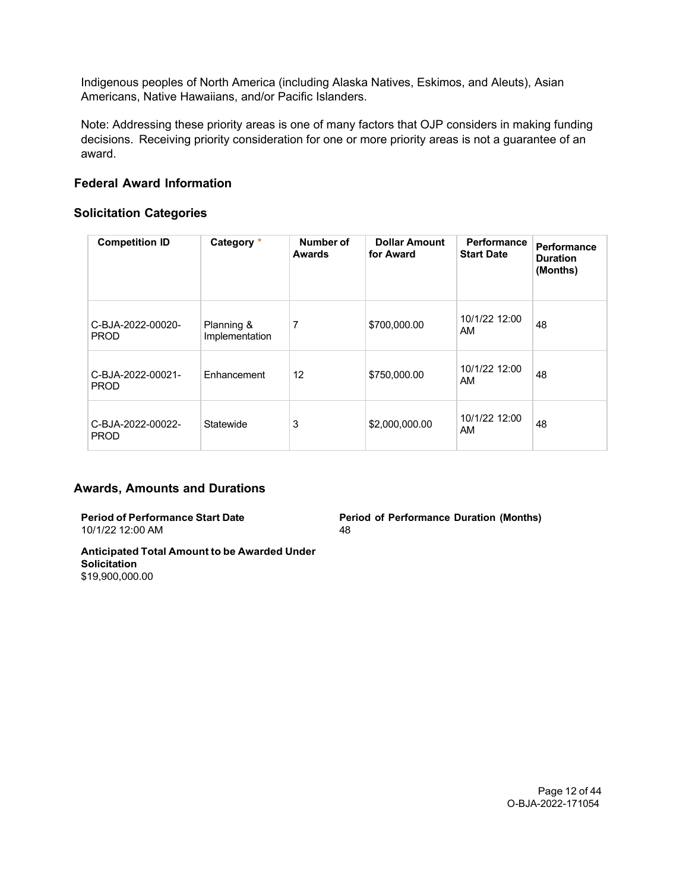Indigenous peoples of North America (including Alaska Natives, Eskimos, and Aleuts), Asian Americans, Native Hawaiians, and/or Pacific Islanders.

Note: Addressing these priority areas is one of many factors that OJP considers in making funding decisions. Receiving priority consideration for one or more priority areas is not a guarantee of an award.

## <span id="page-11-0"></span>**Federal Award Information**

## **Solicitation Categories**

| <b>Competition ID</b>            | Category *                   | Number of<br><b>Awards</b> | <b>Dollar Amount</b><br>for Award | <b>Performance</b><br><b>Start Date</b> | Performance<br><b>Duration</b><br>(Months) |
|----------------------------------|------------------------------|----------------------------|-----------------------------------|-----------------------------------------|--------------------------------------------|
| C-BJA-2022-00020-<br><b>PROD</b> | Planning &<br>Implementation | 7                          | \$700,000.00                      | 10/1/22 12:00<br>AM                     | 48                                         |
| C-BJA-2022-00021-<br><b>PROD</b> | Enhancement                  | 12                         | \$750,000.00                      | 10/1/22 12:00<br>AM                     | 48                                         |
| C-BJA-2022-00022-<br><b>PROD</b> | Statewide                    | 3                          | \$2,000,000.00                    | 10/1/22 12:00<br>AM                     | 48                                         |

## **Awards, Amounts and Durations**

**Period of Performance Start Date** 10/1/22 12:00 AM

**Period of Performance Duration (Months)** 48

**Anticipated Total Amount to be Awarded Under Solicitation** \$19,900,000.00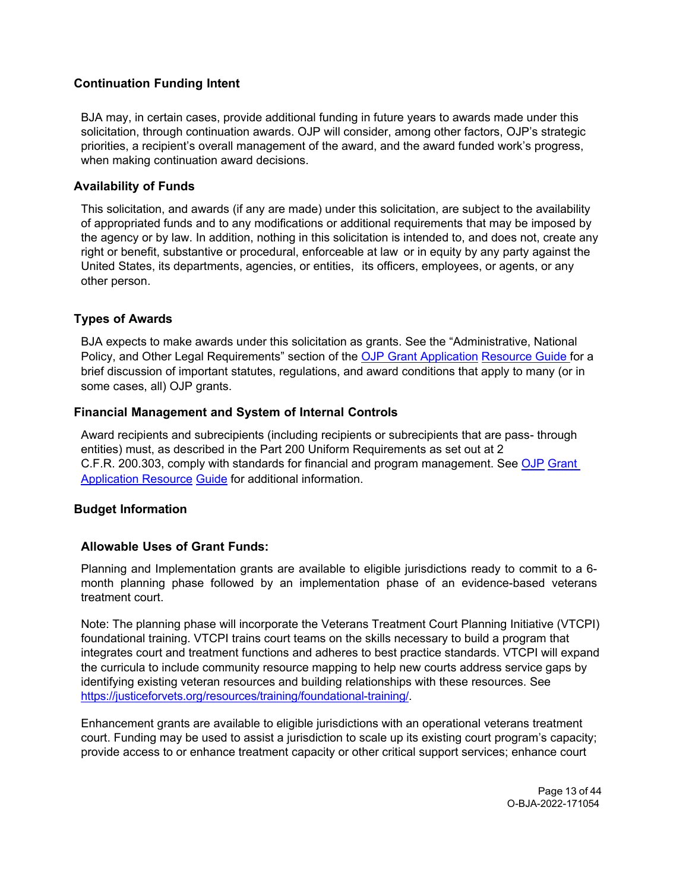# <span id="page-12-0"></span>**Continuation Funding Intent**

BJA may, in certain cases, provide additional funding in future years to awards made under this solicitation, through continuation awards. OJP will consider, among other factors, OJP's strategic priorities, a recipient's overall management of the award, and the award funded work's progress, when making continuation award decisions.

## <span id="page-12-1"></span>**Availability of Funds**

This solicitation, and awards (if any are made) under this solicitation, are subject to the availability of appropriated funds and to any modifications or additional requirements that may be imposed by the agency or by law. In addition, nothing in this solicitation is intended to, and does not, create any right or benefit, substantive or procedural, enforceable at law or in equity by any party against the United States, its departments, agencies, or entities, its officers, employees, or agents, or any other person.

## <span id="page-12-2"></span>**Types of Awards**

BJA expects to make awards under this solicitation as grants. See the "Administrative, National Policy, and Other Legal Requirements" section of the [OJP Grant Application](https://ojp.gov/funding/Apply/Resources/Grant-App-Resource-Guide.htm) [Resource Guide f](https://ojp.gov/funding/Apply/Resources/Grant-App-Resource-Guide.htm)or a brief discussion of important statutes, regulations, and award conditions that apply to many (or in some cases, all) OJP grants.

## <span id="page-12-3"></span>**Financial Management and System of Internal Controls**

Award recipients and subrecipients (including recipients or subrecipients that are pass- through entities) must, as described in the Part 200 Uniform Requirements as set out at 2 C.F.R. 200.303, comply with standards for financial and program management. See [OJP](https://www.ojp.gov/funding/apply/ojp-grant-application-resource-guide#fm-internal-controls) [Grant](https://www.ojp.gov/funding/apply/ojp-grant-application-resource-guide#fm-internal-controls) [Application Resource](https://www.ojp.gov/funding/apply/ojp-grant-application-resource-guide#fm-internal-controls) [Guide](https://www.ojp.gov/funding/apply/ojp-grant-application-resource-guide#fm-internal-controls) for additional information.

## <span id="page-12-4"></span>**Budget Information**

## **Allowable Uses of Grant Funds:**

Planning and Implementation grants are available to eligible jurisdictions ready to commit to a 6 month planning phase followed by an implementation phase of an evidence-based veterans treatment court.

Note: The planning phase will incorporate the Veterans Treatment Court Planning Initiative (VTCPI) foundational training. VTCPI trains court teams on the skills necessary to build a program that integrates court and treatment functions and adheres to best practice standards. VTCPI will expand the curricula to include community resource mapping to help new courts address service gaps by identifying existing veteran resources and building relationships with these resources. See https://justiceforvets.org/resources/training/foundational-training/

Enhancement grants are available to eligible jurisdictions with an operational veterans treatment court. Funding may be used to assist a jurisdiction to scale up its existing court program's capacity; provide access to or enhance treatment capacity or other critical support services; enhance court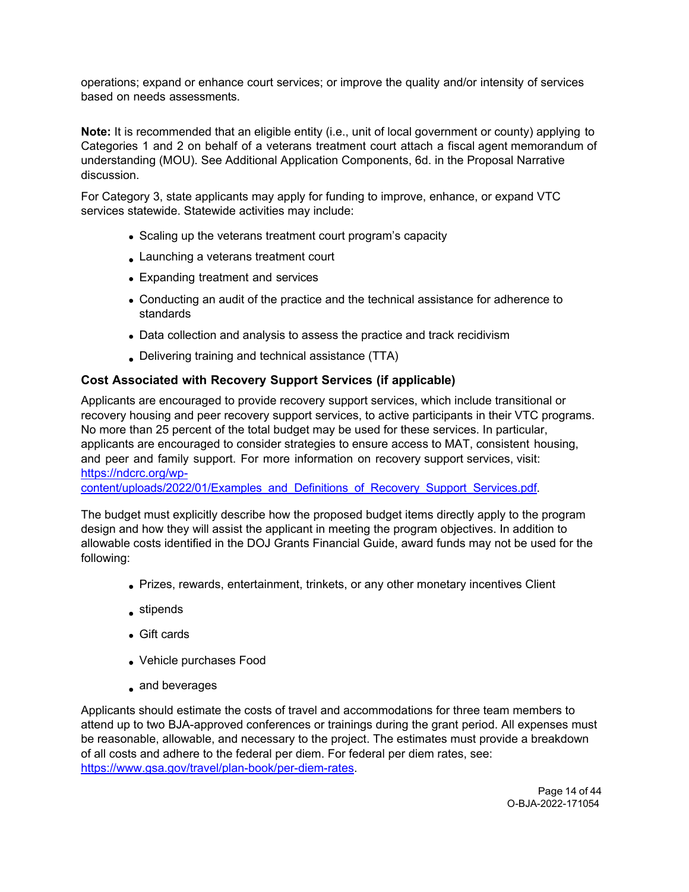operations; expand or enhance court services; or improve the quality and/or intensity of services based on needs assessments.

**Note:** It is recommended that an eligible entity (i.e., unit of local government or county) applying to Categories 1 and 2 on behalf of a veterans treatment court attach a fiscal agent memorandum of understanding (MOU). See Additional Application Components, 6d. in the Proposal Narrative discussion.

For Category 3, state applicants may apply for funding to improve, enhance, or expand VTC services statewide. Statewide activities may include:

- Scaling up the veterans treatment court program's capacity
- Launching a veterans treatment court
- Expanding treatment and services
- Conducting an audit of the practice and the technical assistance for adherence to standards
- Data collection and analysis to assess the practice and track recidivism
- Delivering training and technical assistance (TTA)

# **Cost Associated with Recovery Support Services (if applicable)**

Applicants are encouraged to provide recovery support services, which include transitional or recovery housing and peer recovery support services, to active participants in their VTC programs. No more than 25 percent of the total budget may be used for these services. In particular, applicants are encouraged to consider strategies to ensure access to MAT, consistent housing, and peer and family support. For more information on recovery support services, visit: [https://ndcrc.org/wp-](https://ndcrc.org/wp-content/uploads/2022/01/Examples_and_Definitions_of_Recovery_Support_Services.pdf)

[content/uploads/2022/01/Examples\\_and\\_Definitions\\_of\\_Recovery\\_Support\\_Services.pdf.](https://ndcrc.org/wp-content/uploads/2022/01/Examples_and_Definitions_of_Recovery_Support_Services.pdf)

The budget must explicitly describe how the proposed budget items directly apply to the program design and how they will assist the applicant in meeting the program objectives. In addition to allowable costs identified in the DOJ Grants Financial Guide, award funds may not be used for the following:

- Prizes, rewards, entertainment, trinkets, or any other monetary incentives Client
- stipends
- Gift cards
- Vehicle purchases Food
- and beverages

Applicants should estimate the costs of travel and accommodations for three team members to attend up to two BJA-approved conferences or trainings during the grant period. All expenses must be reasonable, allowable, and necessary to the project. The estimates must provide a breakdown of all costs and adhere to the federal per diem. For federal per diem rates, see: [https://www.gsa.gov/travel/plan-book/per-diem-rates.](https://www.gsa.gov/travel/plan-book/per-diem-rates)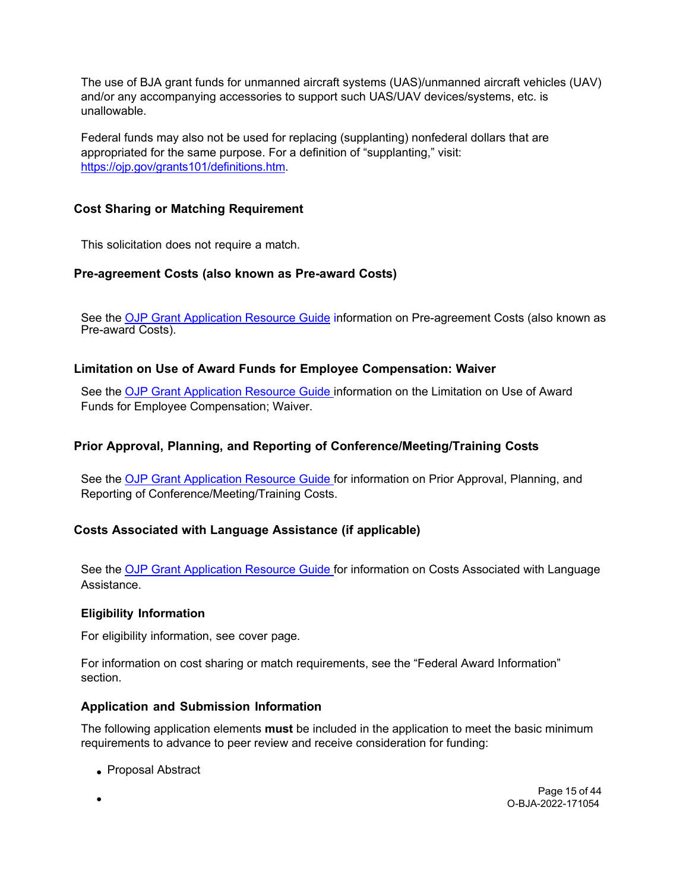The use of BJA grant funds for unmanned aircraft systems (UAS)/unmanned aircraft vehicles (UAV) and/or any accompanying accessories to support such UAS/UAV devices/systems, etc. is unallowable.

Federal funds may also not be used for replacing (supplanting) nonfederal dollars that are appropriated for the same purpose. For a definition of "supplanting," visit: [https://ojp.gov/grants101/definitions.htm.](https://ojp.gov/grants101/definitions.htm)

# <span id="page-14-0"></span>**Cost Sharing or Matching Requirement**

<span id="page-14-1"></span>This solicitation does not require a match.

# **Pre-agreement Costs (also known as Pre-award Costs)**

See the [OJP Grant Application Resource Guide](https://www.ojp.gov/funding/apply/ojp-grant-application-resource-guide#pre-agreement-costs) information on Pre-agreement Costs (also known as Pre-award Costs).

# <span id="page-14-2"></span>**Limitation on Use of Award Funds for Employee Compensation: Waiver**

See the [OJP Grant Application Resource Guide in](https://www.ojp.gov/funding/apply/ojp-grant-application-resource-guide#limitation-use-award)formation on the Limitation on Use of Award Funds for Employee Compensation; Waiver.

# <span id="page-14-3"></span>**Prior Approval, Planning, and Reporting of Conference/Meeting/Training Costs**

See the [OJP Grant Application Resource Guide f](https://www.ojp.gov/funding/apply/ojp-grant-application-resource-guide#prior-approval)or information on Prior Approval, Planning, and Reporting of Conference/Meeting/Training Costs.

# <span id="page-14-4"></span>**Costs Associated with Language Assistance (if applicable)**

See the [OJP Grant Application Resource Guide f](https://www.ojp.gov/funding/apply/ojp-grant-application-resource-guide#costs-associated)or information on Costs Associated with Language Assistance.

## <span id="page-14-5"></span>**Eligibility Information**

For eligibility information, see cover page.

For information on cost sharing or match requirements, see the "Federal Award Information" section.

# <span id="page-14-6"></span>**Application and Submission Information**

The following application elements **must** be included in the application to meet the basic minimum requirements to advance to peer review and receive consideration for funding:

• Proposal Abstract

Page 15 of 44 O-BJA-2022-171054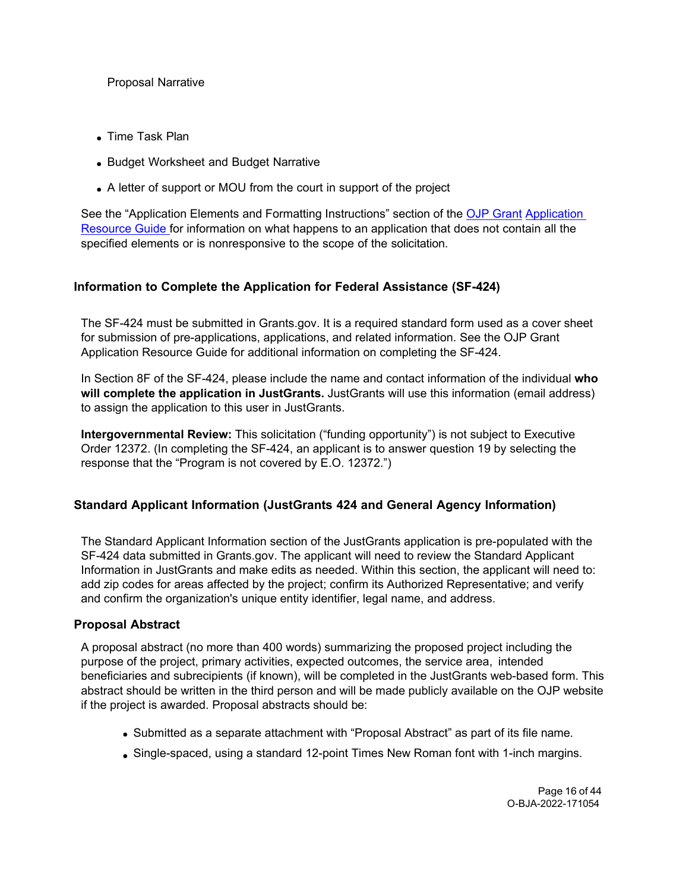## Proposal Narrative

- Time Task Plan
- Budget Worksheet and Budget Narrative
- A letter of support or MOU from the court in support of the project

See the "Application Elements and Formatting Instructions" section of the [OJP Grant](https://www.ojp.gov/funding/apply/ojp-grant-application-resource-guide#application-elements) [Application](https://www.ojp.gov/funding/apply/ojp-grant-application-resource-guide#application-elements)  [Resource Guide f](https://www.ojp.gov/funding/apply/ojp-grant-application-resource-guide#application-elements)or information on what happens to an application that does not contain all the specified elements or is nonresponsive to the scope of the solicitation.

# <span id="page-15-0"></span>**Information to Complete the Application for Federal Assistance (SF-424)**

The SF-424 must be submitted in Grants.gov. It is a required standard form used as a cover sheet for submission of pre-applications, applications, and related information. See the OJP Grant Application Resource Guide for additional information on completing the SF-424.

In Section 8F of the SF-424, please include the name and contact information of the individual **who will complete the application in JustGrants.** JustGrants will use this information (email address) to assign the application to this user in JustGrants.

**Intergovernmental Review:** This solicitation ("funding opportunity") is not subject to Executive Order 12372. (In completing the SF-424, an applicant is to answer question 19 by selecting the response that the "Program is not covered by E.O. 12372.")

# <span id="page-15-1"></span>**Standard Applicant Information (JustGrants 424 and General Agency Information)**

The Standard Applicant Information section of the JustGrants application is pre-populated with the SF-424 data submitted in Grants.gov. The applicant will need to review the Standard Applicant Information in JustGrants and make edits as needed. Within this section, the applicant will need to: add zip codes for areas affected by the project; confirm its Authorized Representative; and verify and confirm the organization's unique entity identifier, legal name, and address.

# <span id="page-15-2"></span>**Proposal Abstract**

A proposal abstract (no more than 400 words) summarizing the proposed project including the purpose of the project, primary activities, expected outcomes, the service area, intended beneficiaries and subrecipients (if known), will be completed in the JustGrants web-based form. This abstract should be written in the third person and will be made publicly available on the OJP website if the project is awarded. Proposal abstracts should be:

- Submitted as a separate attachment with "Proposal Abstract" as part of its file name.
- Single-spaced, using a standard 12-point Times New Roman font with 1-inch margins.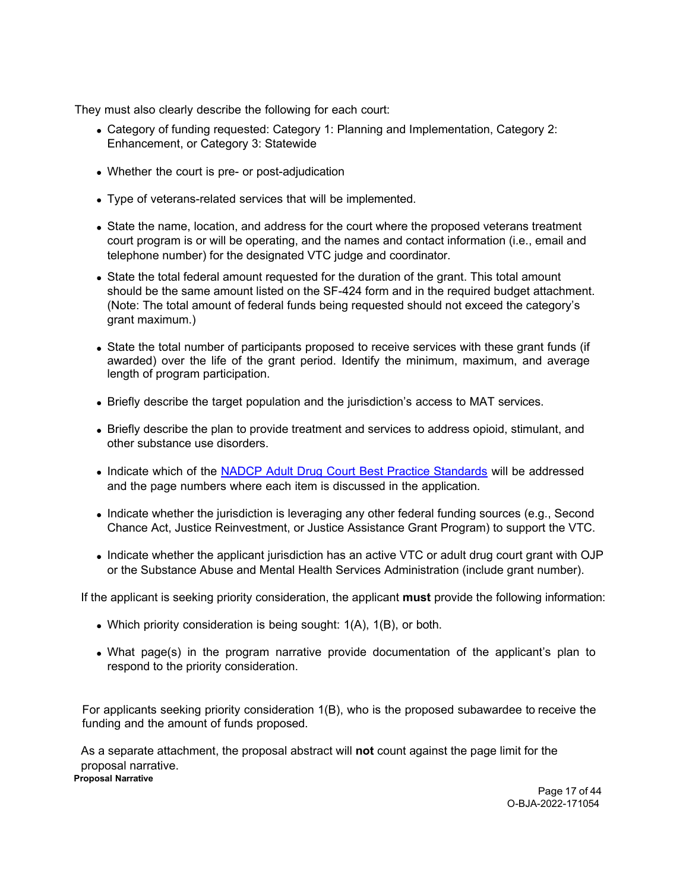They must also clearly describe the following for each court:

- Category of funding requested: Category 1: Planning and Implementation, Category 2: Enhancement, or Category 3: Statewide
- Whether the court is pre- or post-adjudication
- Type of veterans-related services that will be implemented.
- State the name, location, and address for the court where the proposed veterans treatment court program is or will be operating, and the names and contact information (i.e., email and telephone number) for the designated VTC judge and coordinator.
- State the total federal amount requested for the duration of the grant. This total amount should be the same amount listed on the SF-424 form and in the required budget attachment. (Note: The total amount of federal funds being requested should not exceed the category's grant maximum.)
- State the total number of participants proposed to receive services with these grant funds (if awarded) over the life of the grant period. Identify the minimum, maximum, and average length of program participation.
- Briefly describe the target population and the jurisdiction's access to MAT services.
- Briefly describe the plan to provide treatment and services to address opioid, stimulant, and other substance use disorders.
- Indicate which of the [NADCP Adult Drug Court Best Practice Standards](https://www.nadcp.org/standards/adult-drug-court-best-practice-standards/) will be addressed and the page numbers where each item is discussed in the application.
- Indicate whether the jurisdiction is leveraging any other federal funding sources (e.g., Second Chance Act, Justice Reinvestment, or Justice Assistance Grant Program) to support the VTC.
- Indicate whether the applicant jurisdiction has an active VTC or adult drug court grant with OJP or the Substance Abuse and Mental Health Services Administration (include grant number).

If the applicant is seeking priority consideration, the applicant **must** provide the following information:

- Which priority consideration is being sought: 1(A), 1(B), or both.
- What page(s) in the program narrative provide documentation of the applicant's plan to respond to the priority consideration.

For applicants seeking priority consideration 1(B), who is the proposed subawardee to receive the funding and the amount of funds proposed.

As a separate attachment, the proposal abstract will **not** count against the page limit for the proposal narrative.

<span id="page-16-0"></span>**Proposal Narrative**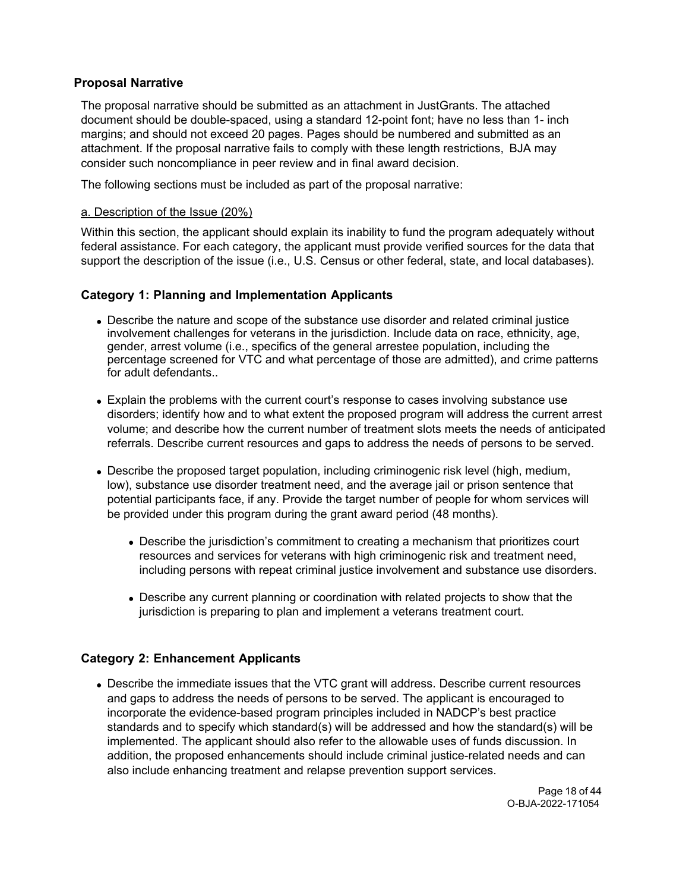## **Proposal Narrative**

The proposal narrative should be submitted as an attachment in JustGrants. The attached document should be double-spaced, using a standard 12-point font; have no less than 1- inch margins; and should not exceed 20 pages. Pages should be numbered and submitted as an attachment. If the proposal narrative fails to comply with these length restrictions, BJA may consider such noncompliance in peer review and in final award decision.

The following sections must be included as part of the proposal narrative:

#### a. Description of the Issue (20%)

Within this section, the applicant should explain its inability to fund the program adequately without federal assistance. For each category, the applicant must provide verified sources for the data that support the description of the issue (i.e., U.S. Census or other federal, state, and local databases).

## **Category 1: Planning and Implementation Applicants**

- Describe the nature and scope of the substance use disorder and related criminal justice involvement challenges for veterans in the jurisdiction. Include data on race, ethnicity, age, gender, arrest volume (i.e., specifics of the general arrestee population, including the percentage screened for VTC and what percentage of those are admitted), and crime patterns for adult defendants..
- Explain the problems with the current court's response to cases involving substance use disorders; identify how and to what extent the proposed program will address the current arrest volume; and describe how the current number of treatment slots meets the needs of anticipated referrals. Describe current resources and gaps to address the needs of persons to be served.
- Describe the proposed target population, including criminogenic risk level (high, medium, low), substance use disorder treatment need, and the average jail or prison sentence that potential participants face, if any. Provide the target number of people for whom services will be provided under this program during the grant award period (48 months).
	- Describe the jurisdiction's commitment to creating a mechanism that prioritizes court resources and services for veterans with high criminogenic risk and treatment need, including persons with repeat criminal justice involvement and substance use disorders.
	- Describe any current planning or coordination with related projects to show that the jurisdiction is preparing to plan and implement a veterans treatment court.

## **Category 2: Enhancement Applicants**

Describe the immediate issues that the VTC grant will address. Describe current resources and gaps to address the needs of persons to be served. The applicant is encouraged to incorporate the evidence-based program principles included in NADCP's best practice standards and to specify which standard(s) will be addressed and how the standard(s) will be implemented. The applicant should also refer to the allowable uses of funds discussion. In addition, the proposed enhancements should include criminal justice-related needs and can also include enhancing treatment and relapse prevention support services.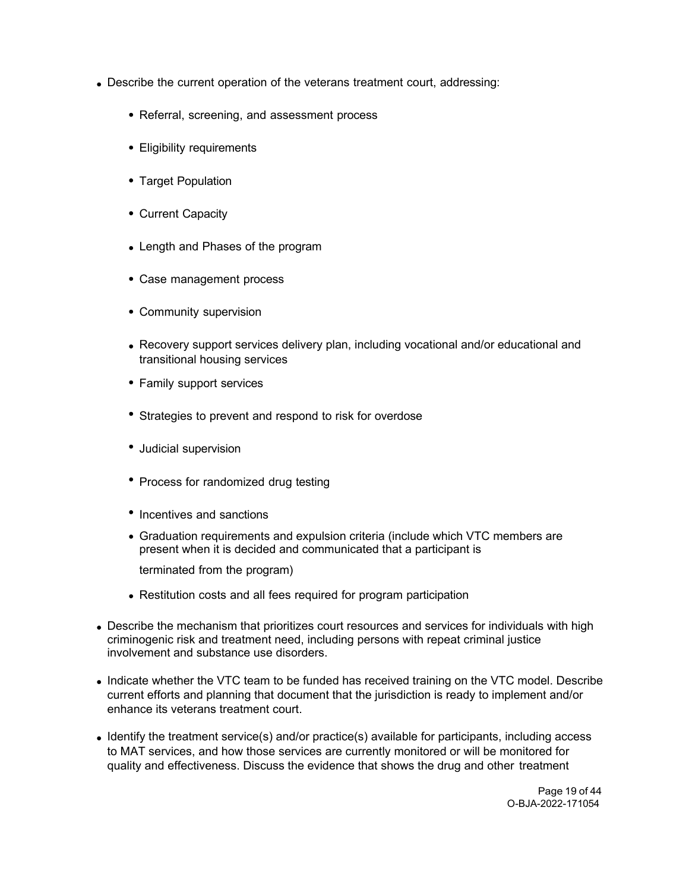- Describe the current operation of the veterans treatment court, addressing:
	- Referral, screening, and assessment process
	- Eligibility requirements
	- Target Population
	- Current Capacity
	- Length and Phases of the program
	- Case management process
	- Community supervision
	- Recovery support services delivery plan, including vocational and/or educational and transitional housing services
	- Family support services
	- Strategies to prevent and respond to risk for overdose
	- Judicial supervision
	- Process for randomized drug testing
	- Incentives and sanctions
	- Graduation requirements and expulsion criteria (include which VTC members are present when it is decided and communicated that a participant is

terminated from the program)

- Restitution costs and all fees required for program participation
- Describe the mechanism that prioritizes court resources and services for individuals with high criminogenic risk and treatment need, including persons with repeat criminal justice involvement and substance use disorders.
- Indicate whether the VTC team to be funded has received training on the VTC model. Describe current efforts and planning that document that the jurisdiction is ready to implement and/or enhance its veterans treatment court.
- $\bullet$  Identify the treatment service(s) and/or practice(s) available for participants, including access to MAT services, and how those services are currently monitored or will be monitored for quality and effectiveness. Discuss the evidence that shows the drug and other treatment

Page 19 of 44 O-BJA-2022-171054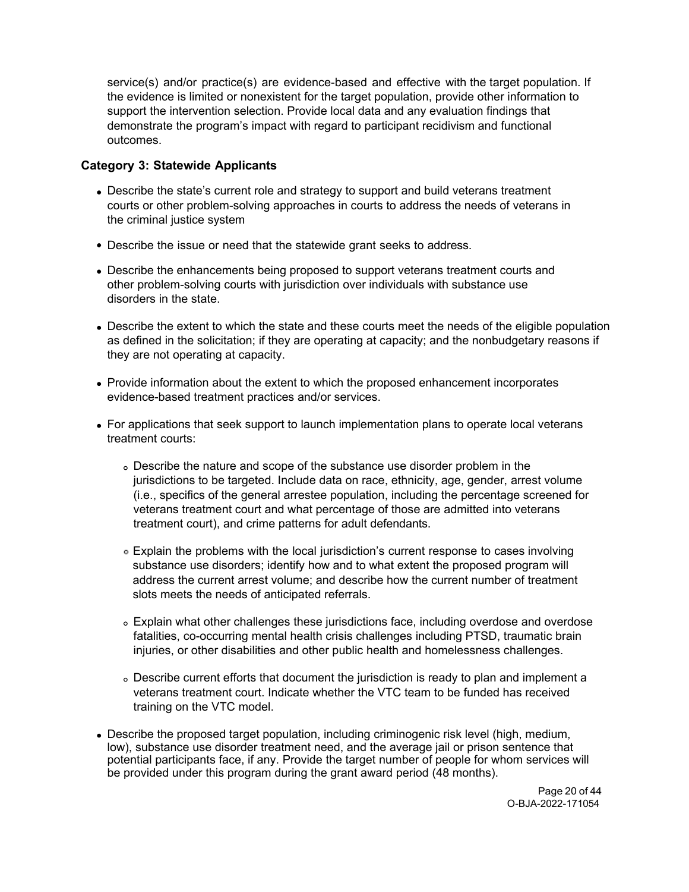service(s) and/or practice(s) are evidence-based and effective with the target population. If the evidence is limited or nonexistent for the target population, provide other information to support the intervention selection. Provide local data and any evaluation findings that demonstrate the program's impact with regard to participant recidivism and functional outcomes.

## **Category 3: Statewide Applicants**

- Describe the state's current role and strategy to support and build veterans treatment courts or other problem-solving approaches in courts to address the needs of veterans in the criminal justice system
- Describe the issue or need that the statewide grant seeks to address.
- Describe the enhancements being proposed to support veterans treatment courts and other problem-solving courts with jurisdiction over individuals with substance use disorders in the state.
- Describe the extent to which the state and these courts meet the needs of the eligible population as defined in the solicitation; if they are operating at capacity; and the nonbudgetary reasons if they are not operating at capacity.
- Provide information about the extent to which the proposed enhancement incorporates evidence-based treatment practices and/or services.
- For applications that seek support to launch implementation plans to operate local veterans treatment courts:
	- Describe the nature and scope of the substance use disorder problem in the jurisdictions to be targeted. Include data on race, ethnicity, age, gender, arrest volume (i.e., specifics of the general arrestee population, including the percentage screened for veterans treatment court and what percentage of those are admitted into veterans treatment court), and crime patterns for adult defendants.
	- Explain the problems with the local jurisdiction's current response to cases involving substance use disorders; identify how and to what extent the proposed program will address the current arrest volume; and describe how the current number of treatment slots meets the needs of anticipated referrals.
	- Explain what other challenges these jurisdictions face, including overdose and overdose fatalities, co-occurring mental health crisis challenges including PTSD, traumatic brain injuries, or other disabilities and other public health and homelessness challenges.
	- Describe current efforts that document the jurisdiction is ready to plan and implement a veterans treatment court. Indicate whether the VTC team to be funded has received training on the VTC model.
- Describe the proposed target population, including criminogenic risk level (high, medium, low), substance use disorder treatment need, and the average jail or prison sentence that potential participants face, if any. Provide the target number of people for whom services will be provided under this program during the grant award period (48 months).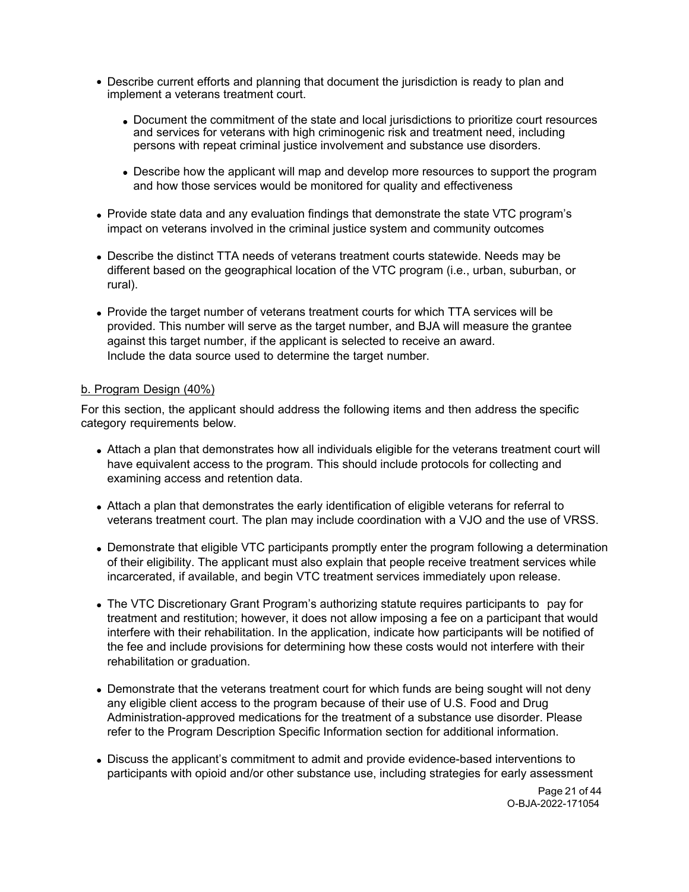- Describe current efforts and planning that document the jurisdiction is ready to plan and implement a veterans treatment court.
	- Document the commitment of the state and local jurisdictions to prioritize court resources and services for veterans with high criminogenic risk and treatment need, including persons with repeat criminal justice involvement and substance use disorders.
	- Describe how the applicant will map and develop more resources to support the program and how those services would be monitored for quality and effectiveness
- Provide state data and any evaluation findings that demonstrate the state VTC program's impact on veterans involved in the criminal justice system and community outcomes
- Describe the distinct TTA needs of veterans treatment courts statewide. Needs may be different based on the geographical location of the VTC program (i.e., urban, suburban, or rural).
- Provide the target number of veterans treatment courts for which TTA services will be provided. This number will serve as the target number, and BJA will measure the grantee against this target number, if the applicant is selected to receive an award. Include the data source used to determine the target number.

#### b. Program Design (40%)

For this section, the applicant should address the following items and then address the specific category requirements below.

- Attach a plan that demonstrates how all individuals eligible for the veterans treatment court will have equivalent access to the program. This should include protocols for collecting and examining access and retention data.
- Attach a plan that demonstrates the early identification of eligible veterans for referral to veterans treatment court. The plan may include coordination with a VJO and the use of VRSS.
- Demonstrate that eligible VTC participants promptly enter the program following a determination of their eligibility. The applicant must also explain that people receive treatment services while incarcerated, if available, and begin VTC treatment services immediately upon release.
- The VTC Discretionary Grant Program's authorizing statute requires participants to pay for treatment and restitution; however, it does not allow imposing a fee on a participant that would interfere with their rehabilitation. In the application, indicate how participants will be notified of the fee and include provisions for determining how these costs would not interfere with their rehabilitation or graduation.
- Demonstrate that the veterans treatment court for which funds are being sought will not deny any eligible client access to the program because of their use of U.S. Food and Drug Administration-approved medications for the treatment of a substance use disorder. Please refer to the Program Description Specific Information section for additional information.
- Discuss the applicant's commitment to admit and provide evidence-based interventions to participants with opioid and/or other substance use, including strategies for early assessment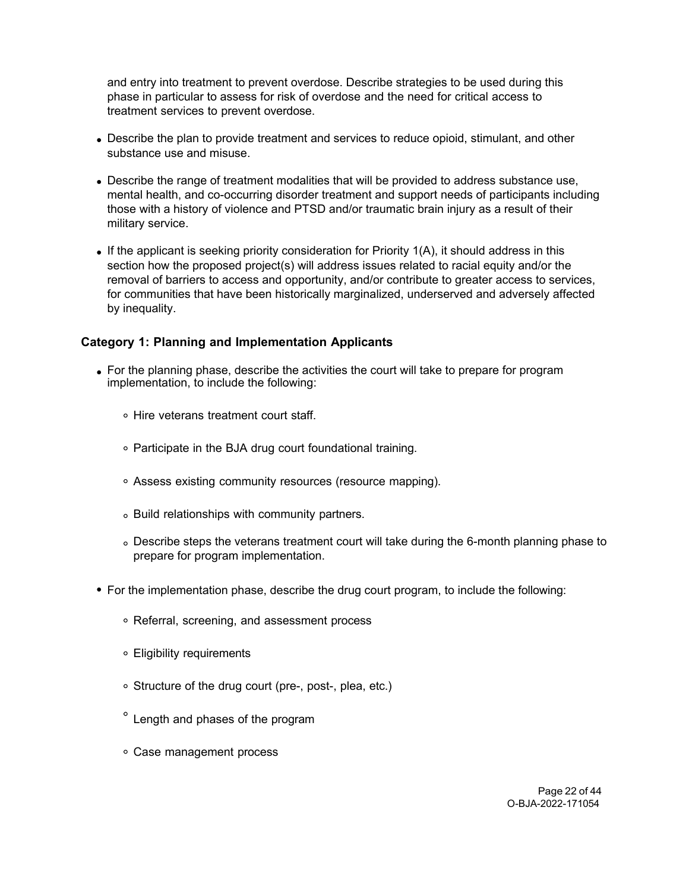and entry into treatment to prevent overdose. Describe strategies to be used during this phase in particular to assess for risk of overdose and the need for critical access to treatment services to prevent overdose.

- Describe the plan to provide treatment and services to reduce opioid, stimulant, and other substance use and misuse.
- Describe the range of treatment modalities that will be provided to address substance use, mental health, and co-occurring disorder treatment and support needs of participants including those with a history of violence and PTSD and/or traumatic brain injury as a result of their military service.
- If the applicant is seeking priority consideration for Priority  $1(A)$ , it should address in this section how the proposed project(s) will address issues related to racial equity and/or the removal of barriers to access and opportunity, and/or contribute to greater access to services, for communities that have been historically marginalized, underserved and adversely affected by inequality.

# **Category 1: Planning and Implementation Applicants**

- For the planning phase, describe the activities the court will take to prepare for program implementation, to include the following:
	- Hire veterans treatment court staff.
	- Participate in the BJA drug court foundational training.
	- Assess existing community resources (resource mapping).
	- Build relationships with community partners.
	- Describe steps the veterans treatment court will take during the 6-month planning phase to prepare for program implementation.
- For the implementation phase, describe the drug court program, to include the following:
	- Referral, screening, and assessment process
	- Eligibility requirements
	- Structure of the drug court (pre-, post-, plea, etc.)
	- $\degree$  Length and phases of the program
	- Case management process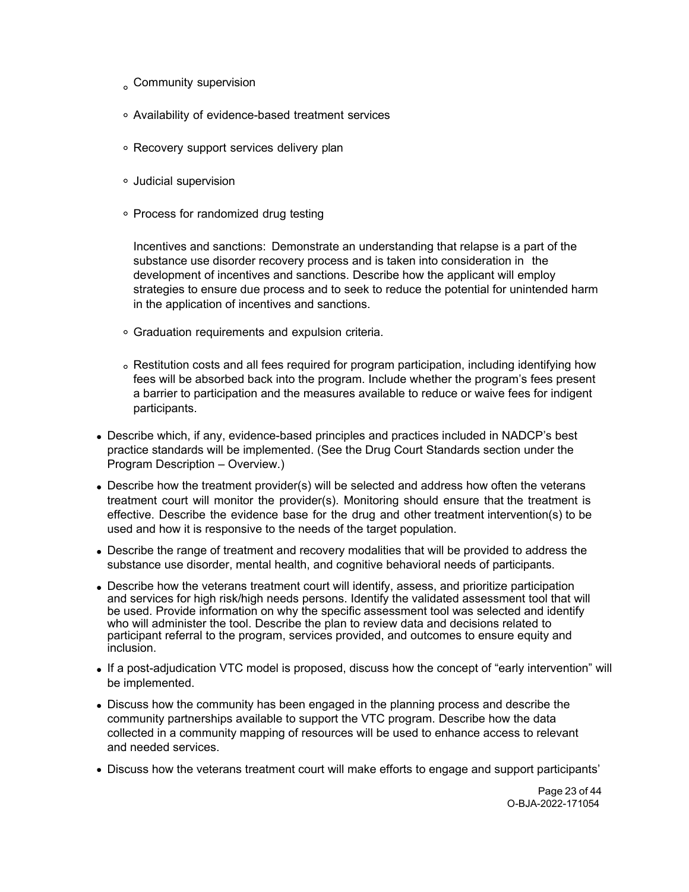- Community supervision
- Availability of evidence-based treatment services
- Recovery support services delivery plan
- Judicial supervision
- Process for randomized drug testing

Incentives and sanctions: Demonstrate an understanding that relapse is a part of the substance use disorder recovery process and is taken into consideration in the development of incentives and sanctions. Describe how the applicant will employ strategies to ensure due process and to seek to reduce the potential for unintended harm in the application of incentives and sanctions.

- Graduation requirements and expulsion criteria.
- Restitution costs and all fees required for program participation, including identifying how fees will be absorbed back into the program. Include whether the program's fees present a barrier to participation and the measures available to reduce or waive fees for indigent participants.
- Describe which, if any, evidence-based principles and practices included in NADCP's best practice standards will be implemented. (See the Drug Court Standards section under the Program Description – Overview.)
- Describe how the treatment provider(s) will be selected and address how often the veterans treatment court will monitor the provider(s). Monitoring should ensure that the treatment is effective. Describe the evidence base for the drug and other treatment intervention(s) to be used and how it is responsive to the needs of the target population.
- Describe the range of treatment and recovery modalities that will be provided to address the substance use disorder, mental health, and cognitive behavioral needs of participants.
- Describe how the veterans treatment court will identify, assess, and prioritize participation and services for high risk/high needs persons. Identify the validated assessment tool that will be used. Provide information on why the specific assessment tool was selected and identify who will administer the tool. Describe the plan to review data and decisions related to participant referral to the program, services provided, and outcomes to ensure equity and inclusion.
- If a post-adjudication VTC model is proposed, discuss how the concept of "early intervention" will be implemented.
- Discuss how the community has been engaged in the planning process and describe the community partnerships available to support the VTC program. Describe how the data collected in a community mapping of resources will be used to enhance access to relevant and needed services.
- Discuss how the veterans treatment court will make efforts to engage and support participants'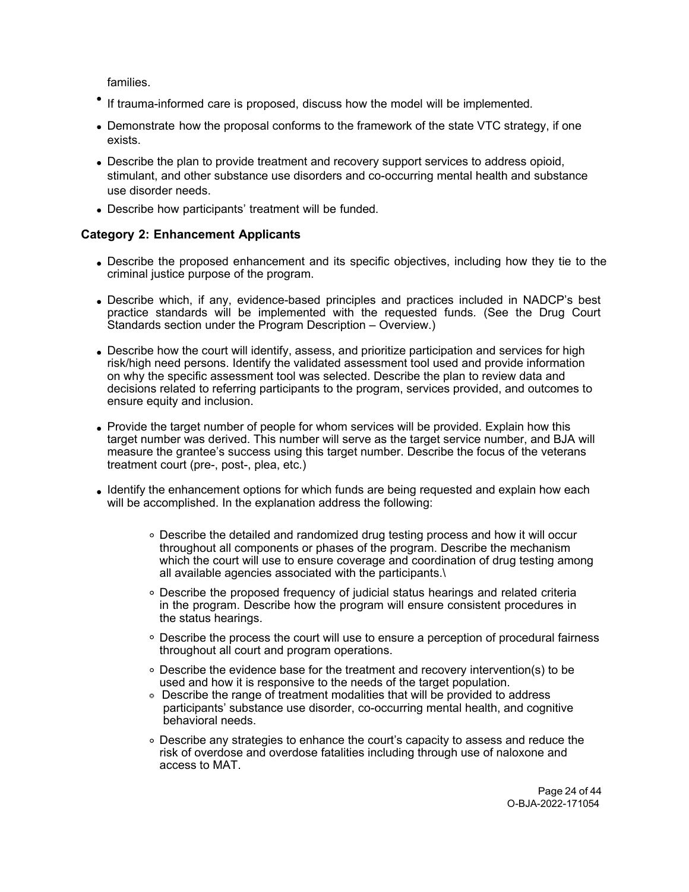families.

- If trauma-informed care is proposed, discuss how the model will be implemented.
- Demonstrate how the proposal conforms to the framework of the state VTC strategy, if one exists.
- Describe the plan to provide treatment and recovery support services to address opioid, stimulant, and other substance use disorders and co-occurring mental health and substance use disorder needs.
- Describe how participants' treatment will be funded.

## **Category 2: Enhancement Applicants**

- Describe the proposed enhancement and its specific objectives, including how they tie to the criminal justice purpose of the program.
- Describe which, if any, evidence-based principles and practices included in NADCP's best practice standards will be implemented with the requested funds*.* (See the Drug Court Standards section under the Program Description – Overview.)
- Describe how the court will identify, assess, and prioritize participation and services for high risk/high need persons. Identify the validated assessment tool used and provide information on why the specific assessment tool was selected. Describe the plan to review data and decisions related to referring participants to the program, services provided, and outcomes to ensure equity and inclusion.
- Provide the target number of people for whom services will be provided. Explain how this target number was derived. This number will serve as the target service number, and BJA will measure the grantee's success using this target number. Describe the focus of the veterans treatment court (pre-, post-, plea, etc.)
- Identify the enhancement options for which funds are being requested and explain how each will be accomplished. In the explanation address the following:
	- Describe the detailed and randomized drug testing process and how it will occur throughout all components or phases of the program. Describe the mechanism which the court will use to ensure coverage and coordination of drug testing among all available agencies associated with the participants.\
	- Describe the proposed frequency of judicial status hearings and related criteria in the program. Describe how the program will ensure consistent procedures in the status hearings.
	- Describe the process the court will use to ensure a perception of procedural fairness throughout all court and program operations.
	- Describe the evidence base for the treatment and recovery intervention(s) to be used and how it is responsive to the needs of the target population.
	- Describe the range of treatment modalities that will be provided to address participants' substance use disorder, co-occurring mental health, and cognitive behavioral needs.
	- Describe any strategies to enhance the court's capacity to assess and reduce the risk of overdose and overdose fatalities including through use of naloxone and access to MAT.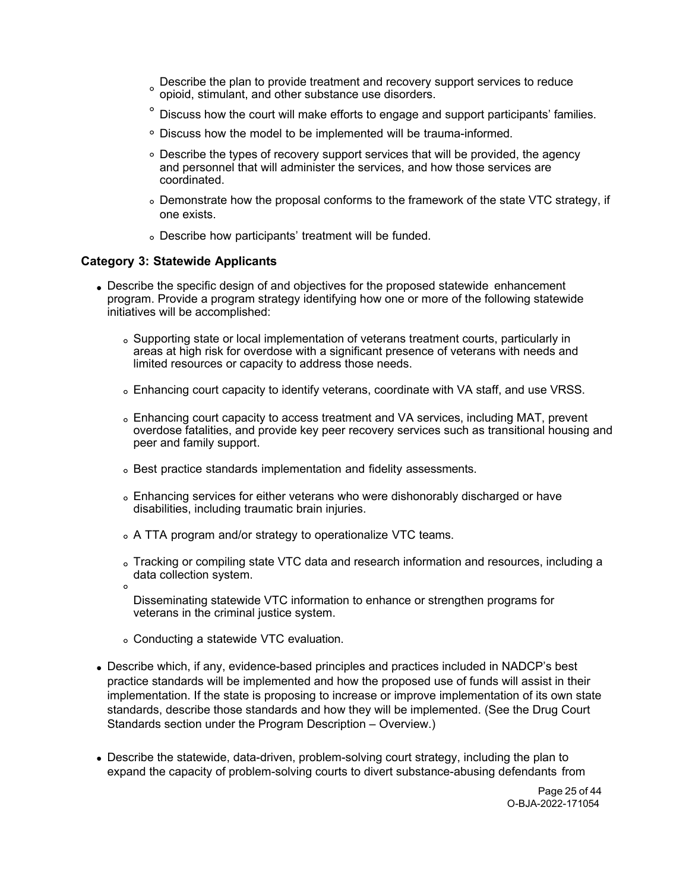- Describe the plan to provide treatment and recovery support services to reduce opioid, stimulant, and other substance use disorders.
- Discuss how the court will make efforts to engage and support participants' families.
- Discuss how the model to be implemented will be trauma-informed.
- Describe the types of recovery support services that will be provided, the agency and personnel that will administer the services, and how those services are coordinated.
- Demonstrate how the proposal conforms to the framework of the state VTC strategy, if one exists.
- Describe how participants' treatment will be funded.

#### **Category 3: Statewide Applicants**

- Describe the specific design of and objectives for the proposed statewide enhancement program. Provide a program strategy identifying how one or more of the following statewide initiatives will be accomplished:
	- Supporting state or local implementation of veterans treatment courts, particularly in areas at high risk for overdose with a significant presence of veterans with needs and limited resources or capacity to address those needs.
	- Enhancing court capacity to identify veterans, coordinate with VA staff, and use VRSS.
	- Enhancing court capacity to access treatment and VA services, including MAT, prevent overdose fatalities, and provide key peer recovery services such as transitional housing and peer and family support.
	- Best practice standards implementation and fidelity assessments.
	- Enhancing services for either veterans who were dishonorably discharged or have disabilities, including traumatic brain injuries.
	- A TTA program and/or strategy to operationalize VTC teams.
	- Tracking or compiling state VTC data and research information and resources, including a data collection system.  $\circ$
	- Disseminating statewide VTC information to enhance or strengthen programs for veterans in the criminal justice system.
	- Conducting a statewide VTC evaluation.
- Describe which, if any, evidence-based principles and practices included in NADCP's best practice standards will be implemented and how the proposed use of funds will assist in their implementation. If the state is proposing to increase or improve implementation of its own state standards, describe those standards and how they will be implemented. (See the Drug Court Standards section under the Program Description – Overview.)
- Describe the statewide, data-driven, problem-solving court strategy, including the plan to expand the capacity of problem-solving courts to divert substance-abusing defendants from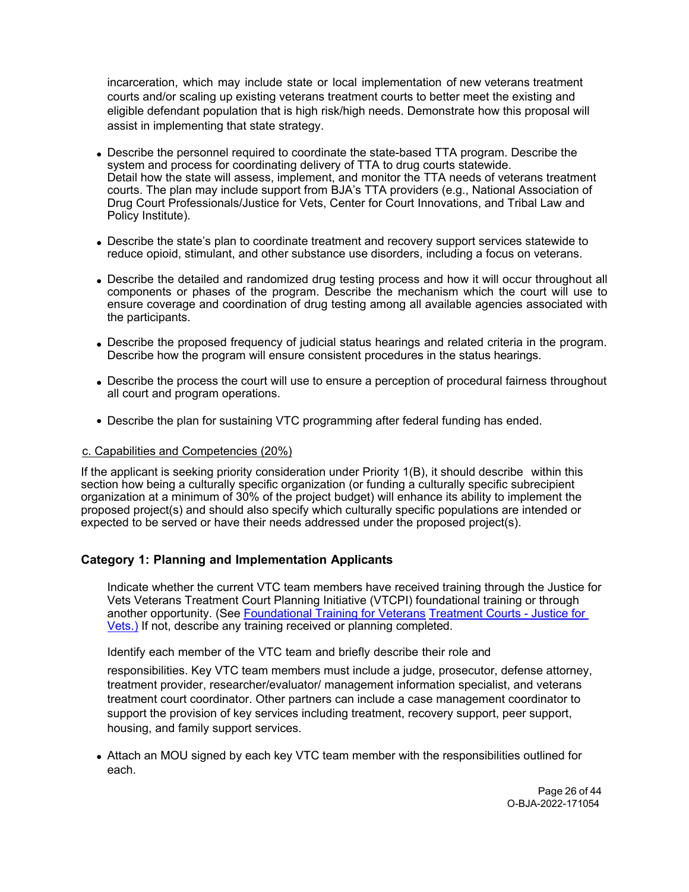incarceration, which may include state or local implementation of new veterans treatment courts and/or scaling up existing veterans treatment courts to better meet the existing and eligible defendant population that is high risk/high needs. Demonstrate how this proposal will assist in implementing that state strategy.

- Describe the personnel required to coordinate the state-based TTA program. Describe the system and process for coordinating delivery of TTA to drug courts statewide. Detail how the state will assess, implement, and monitor the TTA needs of veterans treatment courts. The plan may include support from BJA's TTA providers (e.g., National Association of Drug Court Professionals/Justice for Vets, Center for Court Innovations, and Tribal Law and Policy Institute).
- Describe the state's plan to coordinate treatment and recovery support services statewide to reduce opioid, stimulant, and other substance use disorders, including a focus on veterans.
- Describe the detailed and randomized drug testing process and how it will occur throughout all components or phases of the program. Describe the mechanism which the court will use to ensure coverage and coordination of drug testing among all available agencies associated with the participants.
- Describe the proposed frequency of judicial status hearings and related criteria in the program. Describe how the program will ensure consistent procedures in the status hearings.
- Describe the process the court will use to ensure a perception of procedural fairness throughout all court and program operations.
- Describe the plan for sustaining VTC programming after federal funding has ended.

#### c. Capabilities and Competencies (20%)

If the applicant is seeking priority consideration under Priority 1(B), it should describe within this section how being a culturally specific organization (or funding a culturally specific subrecipient organization at a minimum of 30% of the project budget) will enhance its ability to implement the proposed project(s) and should also specify which culturally specific populations are intended or expected to be served or have their needs addressed under the proposed project(s).

# **Category 1: Planning and Implementation Applicants**

Indicate whether the current VTC team members have received training through the Justice for Vets Veterans Treatment Court Planning Initiative (VTCPI) foundational training or through another opportunity. (See [Foundational Training for Veterans](https://justiceforvets.org/resources/training/foundational-training/) Treatment Courts - Justice for [Vets.](https://justiceforvets.org/resources/training/foundational-training/)) If not, describe any training received or planning completed.

Identify each member of the VTC team and briefly describe their role and

responsibilities. Key VTC team members must include a judge, prosecutor, defense attorney, treatment provider, researcher/evaluator/ management information specialist, and veterans treatment court coordinator. Other partners can include a case management coordinator to support the provision of key services including treatment, recovery support, peer support, housing, and family support services.

Attach an MOU signed by each key VTC team member with the responsibilities outlined for each.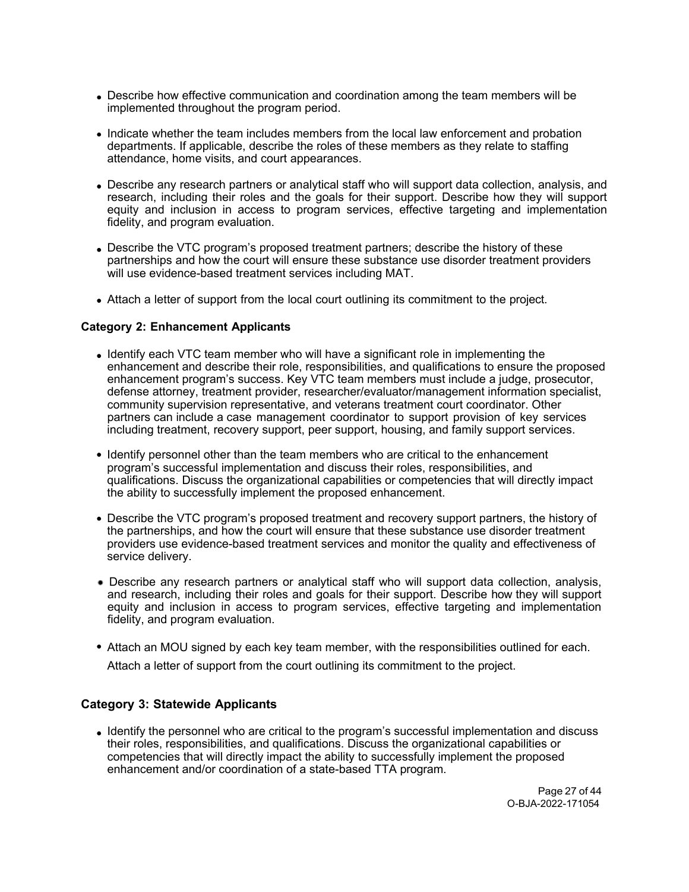- Describe how effective communication and coordination among the team members will be implemented throughout the program period.
- Indicate whether the team includes members from the local law enforcement and probation departments. If applicable, describe the roles of these members as they relate to staffing attendance, home visits, and court appearances.
- Describe any research partners or analytical staff who will support data collection, analysis, and research, including their roles and the goals for their support. Describe how they will support equity and inclusion in access to program services, effective targeting and implementation fidelity, and program evaluation.
- Describe the VTC program's proposed treatment partners; describe the history of these partnerships and how the court will ensure these substance use disorder treatment providers will use evidence-based treatment services including MAT.
- Attach a letter of support from the local court outlining its commitment to the project.

#### **Category 2: Enhancement Applicants**

- Identify each VTC team member who will have a significant role in implementing the enhancement and describe their role, responsibilities, and qualifications to ensure the proposed enhancement program's success. Key VTC team members must include a judge, prosecutor, defense attorney, treatment provider, researcher/evaluator/management information specialist, community supervision representative, and veterans treatment court coordinator. Other partners can include a case management coordinator to support provision of key services including treatment, recovery support, peer support, housing, and family support services.
- Identify personnel other than the team members who are critical to the enhancement program's successful implementation and discuss their roles, responsibilities, and qualifications. Discuss the organizational capabilities or competencies that will directly impact the ability to successfully implement the proposed enhancement.
- Describe the VTC program's proposed treatment and recovery support partners, the history of the partnerships, and how the court will ensure that these substance use disorder treatment providers use evidence-based treatment services and monitor the quality and effectiveness of service delivery.
- Describe any research partners or analytical staff who will support data collection, analysis, and research, including their roles and goals for their support. Describe how they will support equity and inclusion in access to program services, effective targeting and implementation fidelity, and program evaluation.
- Attach an MOU signed by each key team member, with the responsibilities outlined for each.

Attach a letter of support from the court outlining its commitment to the project.

## **Category 3: Statewide Applicants**

• Identify the personnel who are critical to the program's successful implementation and discuss their roles, responsibilities, and qualifications. Discuss the organizational capabilities or competencies that will directly impact the ability to successfully implement the proposed enhancement and/or coordination of a state-based TTA program.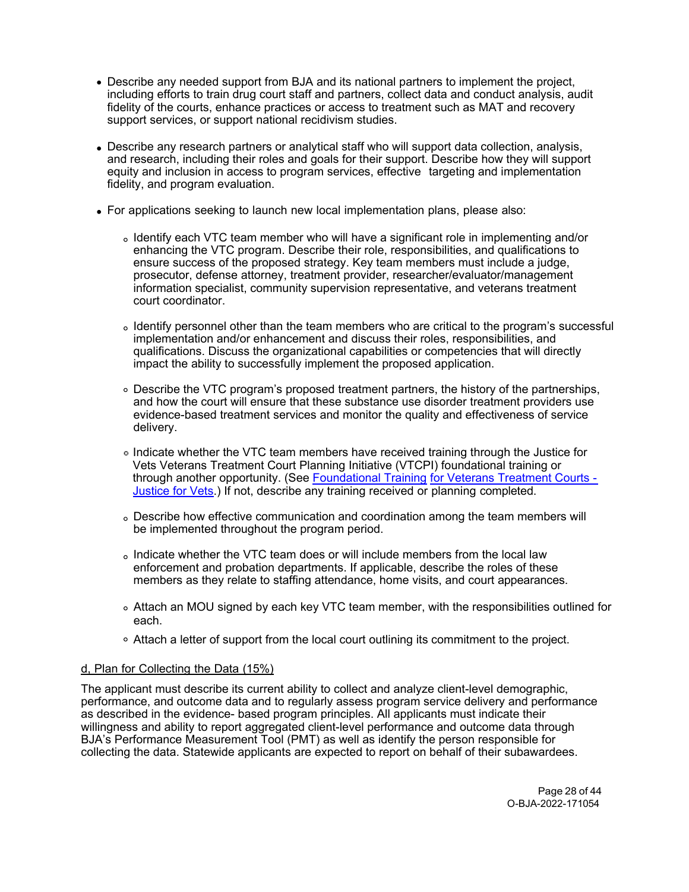- Describe any needed support from BJA and its national partners to implement the project, including efforts to train drug court staff and partners, collect data and conduct analysis, audit fidelity of the courts, enhance practices or access to treatment such as MAT and recovery support services, or support national recidivism studies.
- Describe any research partners or analytical staff who will support data collection, analysis, and research, including their roles and goals for their support. Describe how they will support equity and inclusion in access to program services, effective targeting and implementation fidelity, and program evaluation.
- For applications seeking to launch new local implementation plans, please also:
	- Identify each VTC team member who will have a significant role in implementing and/or enhancing the VTC program. Describe their role, responsibilities, and qualifications to ensure success of the proposed strategy. Key team members must include a judge, prosecutor, defense attorney, treatment provider, researcher/evaluator/management information specialist, community supervision representative, and veterans treatment court coordinator.
	- Identify personnel other than the team members who are critical to the program's successful implementation and/or enhancement and discuss their roles, responsibilities, and qualifications. Discuss the organizational capabilities or competencies that will directly impact the ability to successfully implement the proposed application.
	- Describe the VTC program's proposed treatment partners, the history of the partnerships, and how the court will ensure that these substance use disorder treatment providers use evidence-based treatment services and monitor the quality and effectiveness of service delivery.
	- Indicate whether the VTC team members have received training through the Justice for Vets Veterans Treatment Court Planning Initiative (VTCPI) foundational training or through another opportunity. (See [Foundational Training](https://justiceforvets.org/resources/training/foundational-training/) [for Veterans Treatment Courts -](https://justiceforvets.org/resources/training/foundational-training/)  [Justice for Vets.](https://justiceforvets.org/resources/training/foundational-training/)) If not, describe any training received or planning completed.
	- Describe how effective communication and coordination among the team members will be implemented throughout the program period.
	- Indicate whether the VTC team does or will include members from the local law enforcement and probation departments. If applicable, describe the roles of these members as they relate to staffing attendance, home visits, and court appearances.
	- Attach an MOU signed by each key VTC team member, with the responsibilities outlined for each.
	- Attach a letter of support from the local court outlining its commitment to the project.

## d, Plan for Collecting the Data (15%)

The applicant must describe its current ability to collect and analyze client-level demographic, performance, and outcome data and to regularly assess program service delivery and performance as described in the evidence- based program principles. All applicants must indicate their willingness and ability to report aggregated client-level performance and outcome data through BJA's Performance Measurement Tool (PMT) as well as identify the person responsible for collecting the data. Statewide applicants are expected to report on behalf of their subawardees.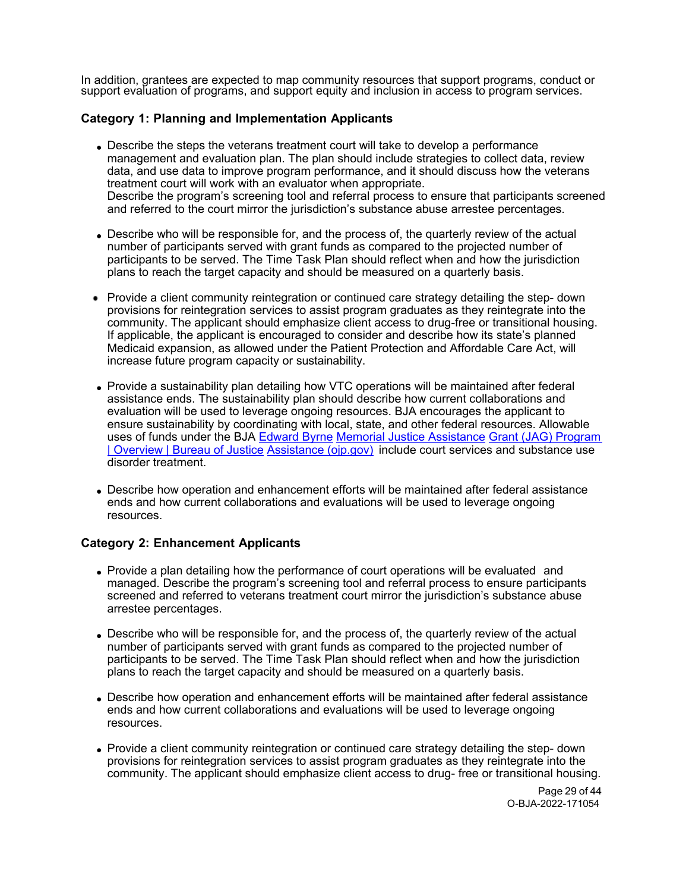In addition, grantees are expected to map community resources that support programs, conduct or support evaluation of programs, and support equity and inclusion in access to program services.

## **Category 1: Planning and Implementation Applicants**

- Describe the steps the veterans treatment court will take to develop a performance management and evaluation plan. The plan should include strategies to collect data, review data, and use data to improve program performance, and it should discuss how the veterans treatment court will work with an evaluator when appropriate. Describe the program's screening tool and referral process to ensure that participants screened and referred to the court mirror the jurisdiction's substance abuse arrestee percentages.
- Describe who will be responsible for, and the process of, the quarterly review of the actual number of participants served with grant funds as compared to the projected number of participants to be served. The Time Task Plan should reflect when and how the jurisdiction plans to reach the target capacity and should be measured on a quarterly basis.
- Provide a client community reintegration or continued care strategy detailing the step- down provisions for reintegration services to assist program graduates as they reintegrate into the community. The applicant should emphasize client access to drug-free or transitional housing. If applicable, the applicant is encouraged to consider and describe how its state's planned Medicaid expansion, as allowed under the Patient Protection and Affordable Care Act, will increase future program capacity or sustainability.
- Provide a sustainability plan detailing how VTC operations will be maintained after federal assistance ends. The sustainability plan should describe how current collaborations and evaluation will be used to leverage ongoing resources. BJA encourages the applicant to ensure sustainability by coordinating with local, state, and other federal resources. Allowable uses of funds under the BJA [Edward Byrne](https://bja.ojp.gov/program/jag/overview) [Memorial Justice Assistance](https://bja.ojp.gov/program/jag/overview) [Grant \(JAG\) Program](https://bja.ojp.gov/program/jag/overview)  [| Overview | Bureau of Justice](https://bja.ojp.gov/program/jag/overview) [Assistance \(ojp.gov\)](https://bja.ojp.gov/program/jag/overview) include court services and substance use disorder treatment.
- Describe how operation and enhancement efforts will be maintained after federal assistance ends and how current collaborations and evaluations will be used to leverage ongoing resources.

## **Category 2: Enhancement Applicants**

- Provide a plan detailing how the performance of court operations will be evaluated and managed. Describe the program's screening tool and referral process to ensure participants screened and referred to veterans treatment court mirror the jurisdiction's substance abuse arrestee percentages.
- Describe who will be responsible for, and the process of, the quarterly review of the actual number of participants served with grant funds as compared to the projected number of participants to be served. The Time Task Plan should reflect when and how the jurisdiction plans to reach the target capacity and should be measured on a quarterly basis.
- Describe how operation and enhancement efforts will be maintained after federal assistance ends and how current collaborations and evaluations will be used to leverage ongoing resources.
- Provide a client community reintegration or continued care strategy detailing the step- down provisions for reintegration services to assist program graduates as they reintegrate into the community. The applicant should emphasize client access to drug- free or transitional housing.

Page 29 of 44 O-BJA-2022-171054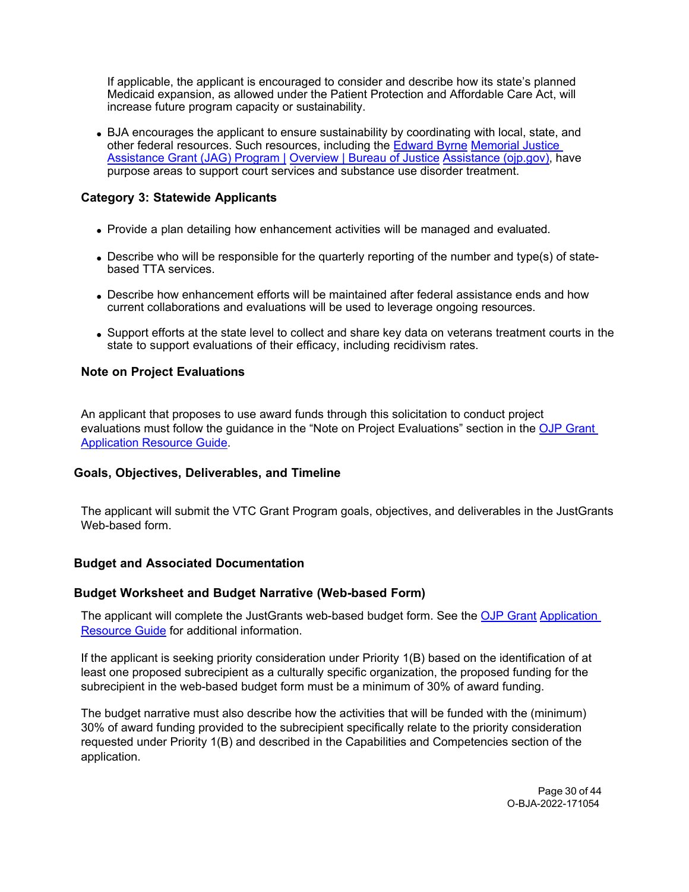If applicable, the applicant is encouraged to consider and describe how its state's planned Medicaid expansion, as allowed under the Patient Protection and Affordable Care Act, will increase future program capacity or sustainability.

BJA encourages the applicant to ensure sustainability by coordinating with local, state, and other federal resources. Such resources, including the [Edward Byrne](https://bja.ojp.gov/program/jag/overview) [Memorial Justice](https://bja.ojp.gov/program/jag/overview)  [Assistance Grant \(JAG\) Program |](https://bja.ojp.gov/program/jag/overview) [Overview | Bureau of Justice](https://bja.ojp.gov/program/jag/overview) [Assistance \(ojp.gov\),](https://bja.ojp.gov/program/jag/overview) have purpose areas to support court services and substance use disorder treatment.

# **Category 3: Statewide Applicants**

- Provide a plan detailing how enhancement activities will be managed and evaluated.
- Describe who will be responsible for the quarterly reporting of the number and type(s) of statebased TTA services.
- Describe how enhancement efforts will be maintained after federal assistance ends and how current collaborations and evaluations will be used to leverage ongoing resources.
- Support efforts at the state level to collect and share key data on veterans treatment courts in the state to support evaluations of their efficacy, including recidivism rates.

## **Note on Project Evaluations**

An applicant that proposes to use award funds through this solicitation to conduct project evaluations must follow the guidance in the "Note on Project Evaluations" section in the [OJP Grant](https://www.ojp.gov/funding/apply/ojp-grant-application-resource-guide#project-evaluations)  [Application Resource Guide.](https://www.ojp.gov/funding/apply/ojp-grant-application-resource-guide#project-evaluations)

## <span id="page-29-0"></span>**Goals, Objectives, Deliverables, and Timeline**

The applicant will submit the VTC Grant Program goals, objectives, and deliverables in the JustGrants Web-based form.

## <span id="page-29-1"></span>**Budget and Associated Documentation**

## <span id="page-29-2"></span>**Budget Worksheet and Budget Narrative (Web-based Form)**

The applicant will complete the JustGrants web-based budget form. See the [OJP Grant](https://www.ojp.gov/funding/apply/ojp-grant-application-resource-guide#budget-prep) Application [Resource Guide](https://www.ojp.gov/funding/apply/ojp-grant-application-resource-guide#budget-prep) for additional information.

If the applicant is seeking priority consideration under Priority 1(B) based on the identification of at least one proposed subrecipient as a culturally specific organization, the proposed funding for the subrecipient in the web-based budget form must be a minimum of 30% of award funding.

The budget narrative must also describe how the activities that will be funded with the (minimum) 30% of award funding provided to the subrecipient specifically relate to the priority consideration requested under Priority 1(B) and described in the Capabilities and Competencies section of the application.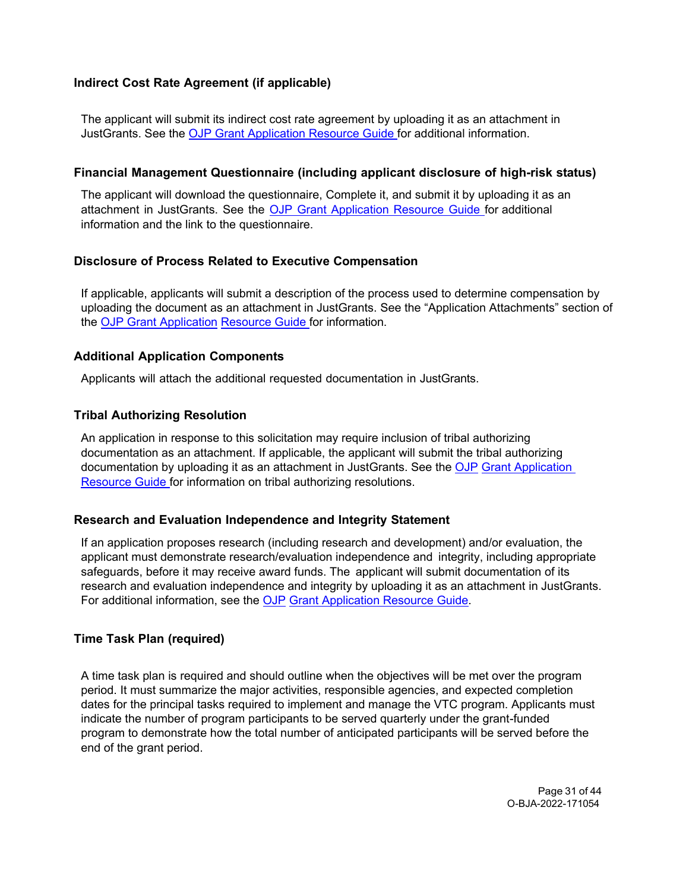## <span id="page-30-0"></span>**Indirect Cost Rate Agreement (if applicable)**

The applicant will submit its indirect cost rate agreement by uploading it as an attachment in JustGrants. See the [OJP Grant Application Resource Guide f](https://www.ojp.gov/funding/apply/ojp-grant-application-resource-guide#budget-prep)or additional information.

## <span id="page-30-1"></span>**Financial Management Questionnaire (including applicant disclosure of high-risk status)**

The applicant will download the questionnaire, Complete it, and submit it by uploading it as an attachment in JustGrants. See the OJP Grant [Application](https://www.ojp.gov/funding/apply/ojp-grant-application-resource-guide#fm-internal-controls-questionnaire) Resource Guide for additional information and the link to the questionnaire.

## <span id="page-30-2"></span>**Disclosure of Process Related to Executive Compensation**

If applicable, applicants will submit a description of the process used to determine compensation by uploading the document as an attachment in JustGrants. See the "Application Attachments" section of the [OJP Grant Application](https://www.ojp.gov/funding/apply/ojp-grant-application-resource-guide#application-attachments) [Resource Guide f](https://www.ojp.gov/funding/apply/ojp-grant-application-resource-guide#application-attachments)or information.

#### <span id="page-30-3"></span>**Additional Application Components**

Applicants will attach the additional requested documentation in JustGrants.

## <span id="page-30-4"></span>**Tribal Authorizing Resolution**

An application in response to this solicitation may require inclusion of tribal authorizing documentation as an attachment. If applicable, the applicant will submit the tribal authorizing documentation by uploading it as an attachment in JustGrants. See the [OJP](https://www.ojp.gov/funding/apply/ojp-grant-application-resource-guide#tribal-authorizing-resolution) [Grant Application](https://www.ojp.gov/funding/apply/ojp-grant-application-resource-guide#tribal-authorizing-resolution)  [Resource Guide f](https://www.ojp.gov/funding/apply/ojp-grant-application-resource-guide#tribal-authorizing-resolution)or information on tribal authorizing resolutions.

## <span id="page-30-5"></span>**Research and Evaluation Independence and Integrity Statement**

If an application proposes research (including research and development) and/or evaluation, the applicant must demonstrate research/evaluation independence and integrity, including appropriate safeguards, before it may receive award funds. The applicant will submit documentation of its research and evaluation independence and integrity by uploading it as an attachment in JustGrants. For additional information, see the [OJP](https://www.ojp.gov/funding/apply/ojp-grant-application-resource-guide#research-evaluation) [Grant Application Resource Guide.](https://www.ojp.gov/funding/apply/ojp-grant-application-resource-guide#research-evaluation)

## <span id="page-30-6"></span>**Time Task Plan (required)**

A time task plan is required and should outline when the objectives will be met over the program period. It must summarize the major activities, responsible agencies, and expected completion dates for the principal tasks required to implement and manage the VTC program. Applicants must indicate the number of program participants to be served quarterly under the grant-funded program to demonstrate how the total number of anticipated participants will be served before the end of the grant period.

> Page 31 of 44 O-BJA-2022-171054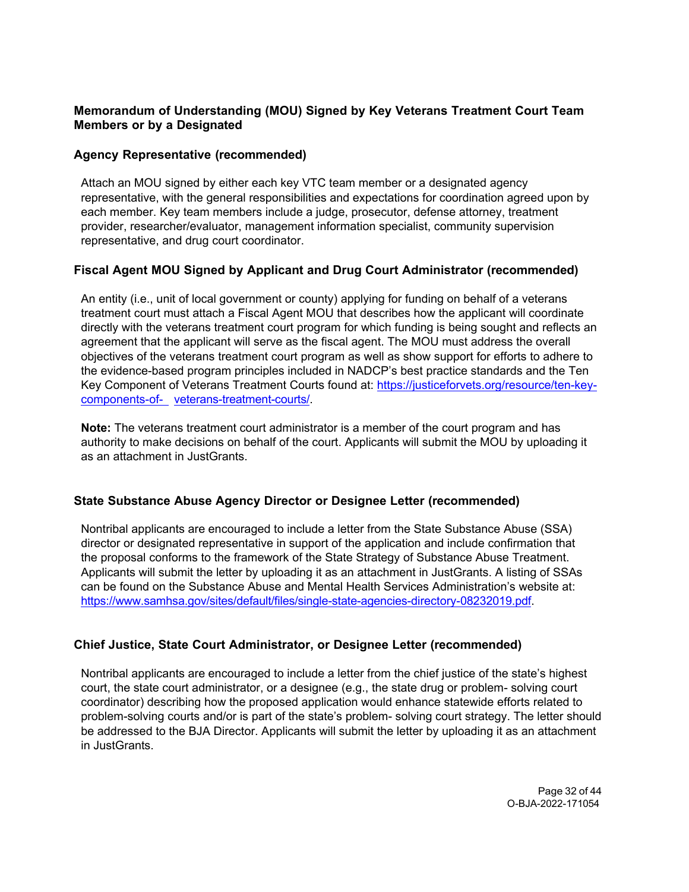# **Memorandum of Understanding (MOU) Signed by Key Veterans Treatment Court Team Members or by a Designated**

## <span id="page-31-0"></span>**Agency Representative (recommended)**

Attach an MOU signed by either each key VTC team member or a designated agency representative, with the general responsibilities and expectations for coordination agreed upon by each member. Key team members include a judge, prosecutor, defense attorney, treatment provider, researcher/evaluator, management information specialist, community supervision representative, and drug court coordinator.

# <span id="page-31-1"></span>**Fiscal Agent MOU Signed by Applicant and Drug Court Administrator (recommended)**

An entity (i.e., unit of local government or county) applying for funding on behalf of a veterans treatment court must attach a Fiscal Agent MOU that describes how the applicant will coordinate directly with the veterans treatment court program for which funding is being sought and reflects an agreement that the applicant will serve as the fiscal agent. The MOU must address the overall objectives of the veterans treatment court program as well as show support for efforts to adhere to the evidence-based program principles included in NADCP's best practice standards and the Ten Key Component of Veterans Treatment Courts found at: [https://justiceforvets.org/resource/ten-key](https://justiceforvets.org/resource/ten-key-components-of-veterans-treatment-courts/)[components-of- veterans-treatment-courts/.](https://justiceforvets.org/resource/ten-key-components-of-veterans-treatment-courts/)

**Note:** The veterans treatment court administrator is a member of the court program and has authority to make decisions on behalf of the court. Applicants will submit the MOU by uploading it as an attachment in JustGrants.

# <span id="page-31-2"></span>**State Substance Abuse Agency Director or Designee Letter (recommended)**

Nontribal applicants are encouraged to include a letter from the State Substance Abuse (SSA) director or designated representative in support of the application and include confirmation that the proposal conforms to the framework of the State Strategy of Substance Abuse Treatment. Applicants will submit the letter by uploading it as an attachment in JustGrants. A listing of SSAs can be found on the Substance Abuse and Mental Health Services Administration's website at: [https://www.samhsa.gov/sites/default/files/single-state-agencies-directory-08232019.pdf.](https://www.samhsa.gov/sites/default/files/single-state-agencies-directory-08232019.pdf)

# <span id="page-31-3"></span>**Chief Justice, State Court Administrator, or Designee Letter (recommended)**

Nontribal applicants are encouraged to include a letter from the chief justice of the state's highest court, the state court administrator, or a designee (e.g., the state drug or problem- solving court coordinator) describing how the proposed application would enhance statewide efforts related to problem-solving courts and/or is part of the state's problem- solving court strategy. The letter should be addressed to the BJA Director. Applicants will submit the letter by uploading it as an attachment in JustGrants.

> Page 32 of 44 O-BJA-2022-171054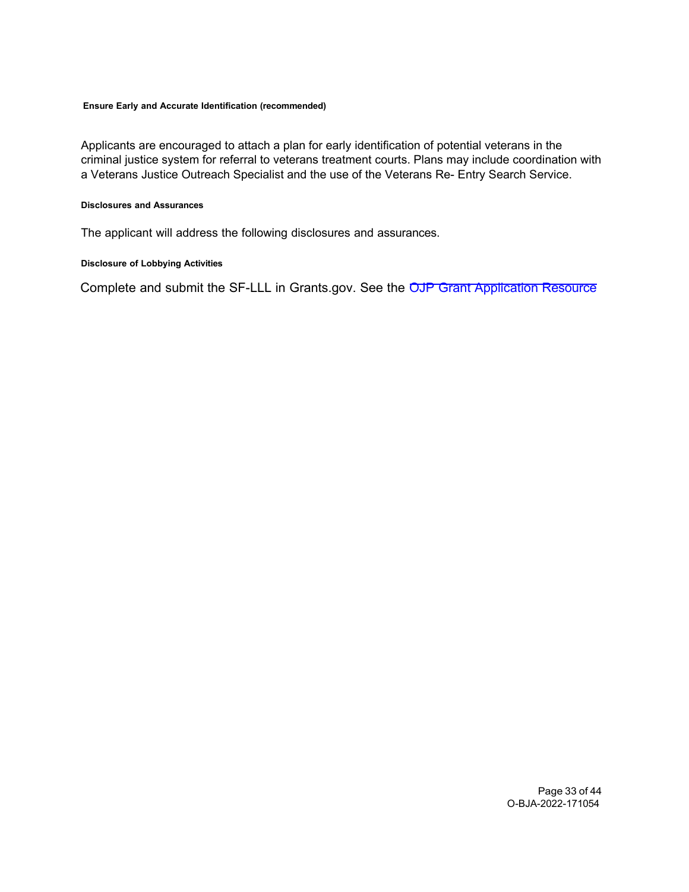#### <span id="page-32-0"></span>**Ensure Early and Accurate Identification (recommended)**

Applicants are encouraged to attach a plan for early identification of potential veterans in the criminal justice system for referral to veterans treatment courts. Plans may include coordination with a Veterans Justice Outreach Specialist and the use of the Veterans Re- Entry Search Service.

#### <span id="page-32-1"></span>**Disclosures and Assurances**

The applicant will address the following disclosures and assurances.

#### <span id="page-32-2"></span>**Disclosure of Lobbying Activities**

Complete and submit the SF-LLL in Grants.gov. See the OJP Grant [Application](https://www.ojp.gov/funding/apply/ojp-grant-application-resource-guide#apply) Resource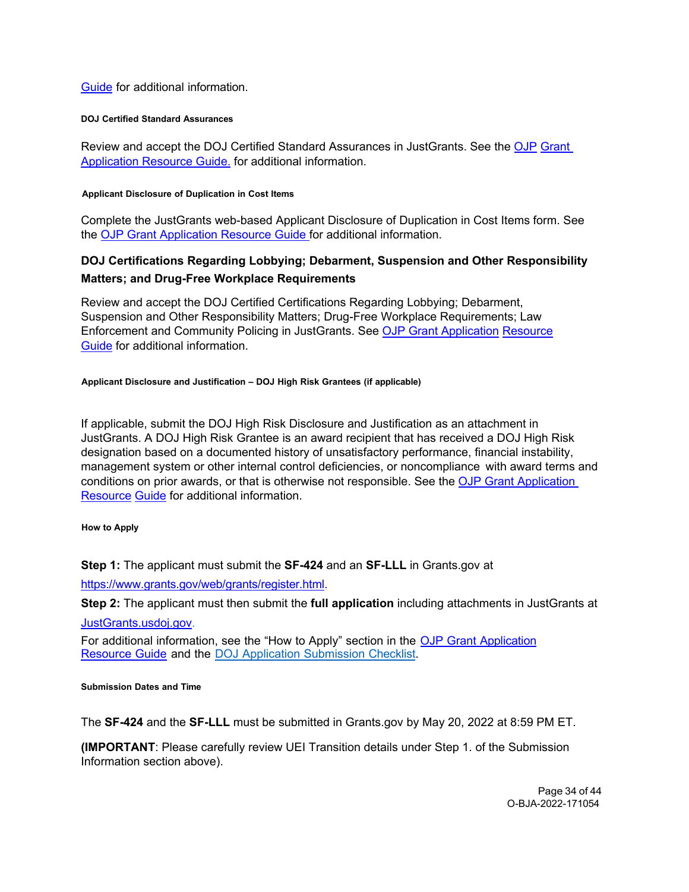## [Guide](https://www.ojp.gov/funding/apply/ojp-grant-application-resource-guide#apply) for additional information.

#### <span id="page-33-0"></span>**DOJ Certified Standard Assurances**

Review and accept the DOJ Certified Standard Assurances in JustGrants. See the [OJP](https://www.ojp.gov/funding/apply/ojp-grant-application-resource-guide#administrative) [Grant](https://www.ojp.gov/funding/apply/ojp-grant-application-resource-guide#administrative)  [Application Resource Guide.](https://www.ojp.gov/funding/apply/ojp-grant-application-resource-guide#administrative) for additional information.

#### <span id="page-33-1"></span>**Applicant Disclosure of Duplication in Cost Items**

Complete the JustGrants web-based Applicant Disclosure of Duplication in Cost Items form. See the [OJP Grant Application Resource Guide f](https://www.ojp.gov/funding/apply/ojp-grant-application-resource-guide#applicant-disclosure-pending-applications)or additional information.

# <span id="page-33-2"></span>**DOJ Certifications Regarding Lobbying; Debarment, Suspension and Other Responsibility Matters; and Drug-Free Workplace Requirements**

Review and accept the DOJ Certified Certifications Regarding Lobbying; Debarment, Suspension and Other Responsibility Matters; Drug-Free Workplace Requirements; Law Enforcement and Community Policing in JustGrants. See [OJP Grant Application](https://www.ojp.gov/funding/apply/ojp-grant-application-resource-guide#administrative) [Resource](https://www.ojp.gov/funding/apply/ojp-grant-application-resource-guide#administrative) [Guide](https://www.ojp.gov/funding/apply/ojp-grant-application-resource-guide#administrative) for additional information.

#### <span id="page-33-3"></span>**Applicant Disclosure and Justification – DOJ High Risk Grantees (if applicable)**

If applicable, submit the DOJ High Risk Disclosure and Justification as an attachment in JustGrants. A DOJ High Risk Grantee is an award recipient that has received a DOJ High Risk designation based on a documented history of unsatisfactory performance, financial instability, management system or other internal control deficiencies, or noncompliance with award terms and conditions on prior awards, or that is otherwise not responsible. See the [OJP Grant Application](https://www.ojp.gov/funding/apply/ojp-grant-application-resource-guide)  [Resource](https://www.ojp.gov/funding/apply/ojp-grant-application-resource-guide) [Guide](https://www.ojp.gov/funding/apply/ojp-grant-application-resource-guide) for additional information.

#### <span id="page-33-4"></span>**How to Apply**

**Step 1:** The applicant must submit the **SF-424** and an **SF-LLL** in Grants.gov at

[https://www.grants.gov/web/grants/register.html.](https://www.grants.gov/web/grants/register.html)

**Step 2:** The applicant must then submit the **full application** including attachments in JustGrants at

[JustGrants.usdoj.gov.](https://justicegrants.usdoj.gov/)

For additional information, see the "How to Apply" section in the OJP Grant [Application](https://www.ojp.gov/funding/apply/ojp-grant-application-resource-guide#apply) [Resource](https://www.ojp.gov/funding/apply/ojp-grant-application-resource-guide#apply) Guide and the DOJ Application [Submission](https://justicegrants.usdoj.gov/sites/g/files/xyckuh296/files/media/document/appln-submission-checklist.pdf) Checklist.

#### <span id="page-33-5"></span>**Submission Dates and Time**

The **SF-424** and the **SF-LLL** must be submitted in Grants.gov by May 20, 2022 at 8:59 PM ET.

**(IMPORTANT**: Please carefully review UEI Transition details under Step 1. of the Submission Information section above).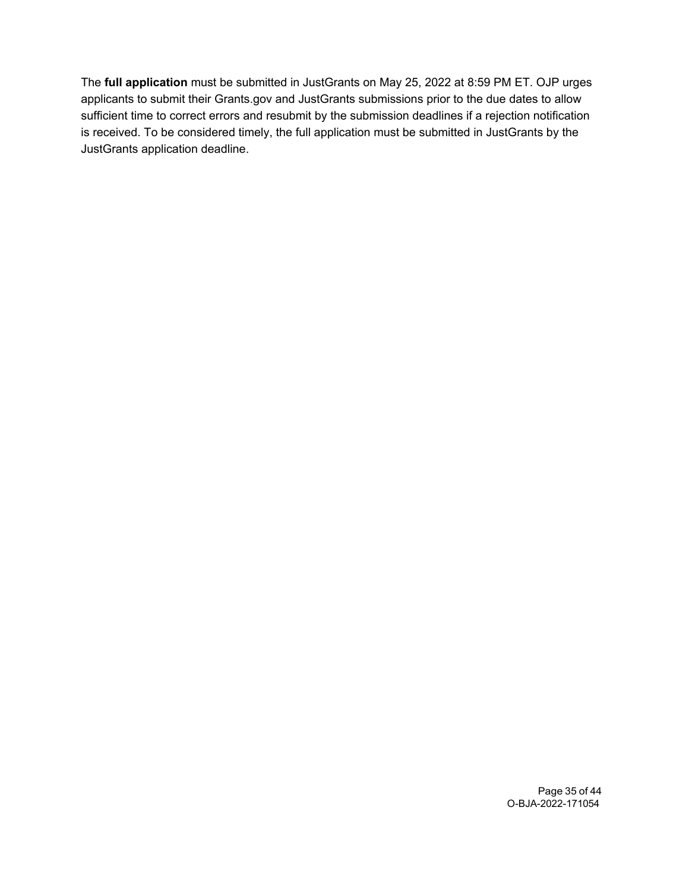The **full application** must be submitted in JustGrants on May 25, 2022 at 8:59 PM ET. OJP urges applicants to submit their Grants.gov and JustGrants submissions prior to the due dates to allow sufficient time to correct errors and resubmit by the submission deadlines if a rejection notification is received. To be considered timely, the full application must be submitted in JustGrants by the JustGrants application deadline.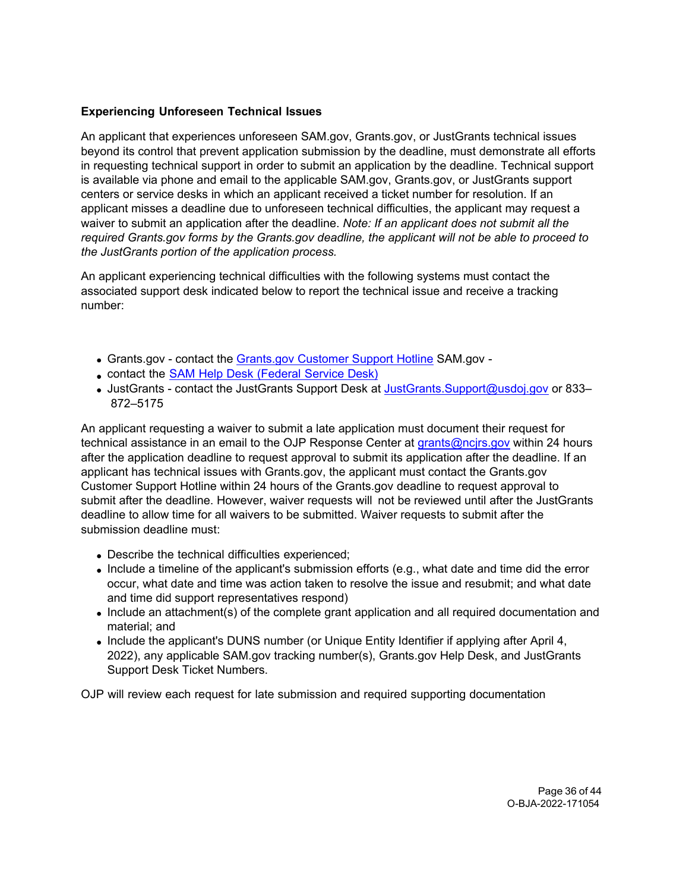## **Experiencing Unforeseen Technical Issues**

An applicant that experiences unforeseen SAM.gov, Grants.gov, or JustGrants technical issues beyond its control that prevent application submission by the deadline, must demonstrate all efforts in requesting technical support in order to submit an application by the deadline. Technical support is available via phone and email to the applicable SAM.gov, Grants.gov, or JustGrants support centers or service desks in which an applicant received a ticket number for resolution. If an applicant misses a deadline due to unforeseen technical difficulties, the applicant may request a waiver to submit an application after the deadline. *Note: If an applicant does not submit all the required Grants.gov forms by the Grants.gov deadline, the applicant will not be able to proceed to the JustGrants portion of the application process.* 

An applicant experiencing technical difficulties with the following systems must contact the associated support desk indicated below to report the technical issue and receive a tracking number:

- Grants.gov contact the [Grants.gov Customer Support Hotline](https://www.grants.gov/web/grants/support.html) SAM.gov -
- contact the SAM Help Desk [\(Federal](https://www.fsd.gov/gsafsd_sp) Service Desk)
- JustGrants contact the JustGrants Support Desk at [JustGrants.Support@usdoj.gov](mailto:JustGrants.Support@usdoj.gov) or 833– 872–5175

An applicant requesting a waiver to submit a late application must document their request for technical assistance in an email to the OJP Response Center at grants@ncjrs.gov within 24 hours after the application deadline to request approval to submit its application after the deadline. If an applicant has technical issues with Grants.gov, the applicant must contact the Grants.gov Customer Support Hotline within 24 hours of the Grants.gov deadline to request approval to submit after the deadline. However, waiver requests will not be reviewed until after the JustGrants deadline to allow time for all waivers to be submitted. Waiver requests to submit after the submission deadline must:

- Describe the technical difficulties experienced;
- Include a timeline of the applicant's submission efforts (e.g., what date and time did the error occur, what date and time was action taken to resolve the issue and resubmit; and what date and time did support representatives respond)
- Include an attachment(s) of the complete grant application and all required documentation and material; and
- Include the applicant's DUNS number (or Unique Entity Identifier if applying after April 4, 2022), any applicable SAM.gov tracking number(s), Grants.gov Help Desk, and JustGrants Support Desk Ticket Numbers.

OJP will review each request for late submission and required supporting documentation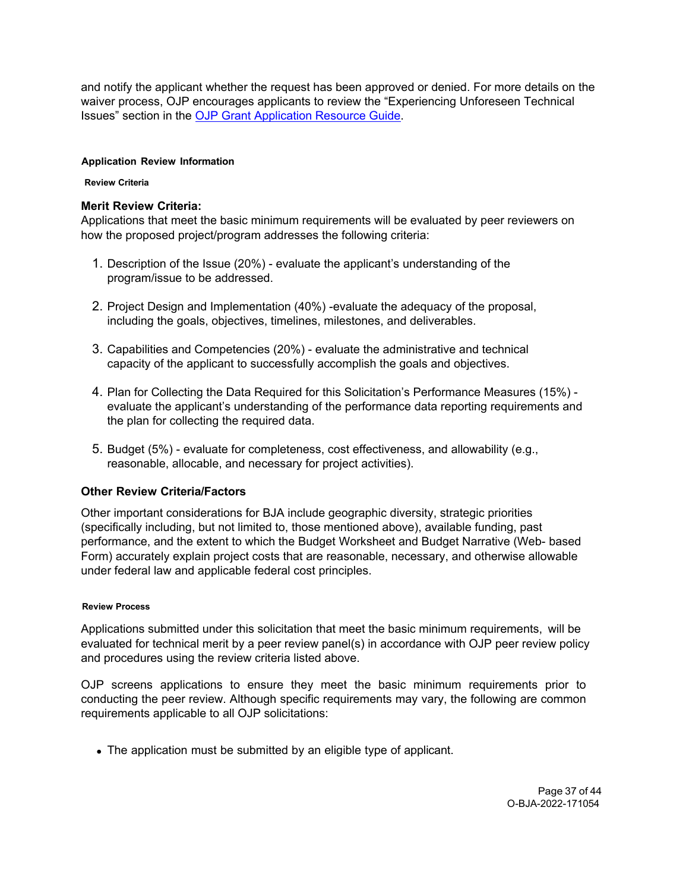and notify the applicant whether the request has been approved or denied. For more details on the waiver process, OJP encourages applicants to review the "Experiencing Unforeseen Technical Issues" section in the [OJP Grant Application Resource Guide.](https://www.ojp.gov/funding/apply/ojp-grant-application-resource-guide#experiencing-unforeseen-technical-issues)

#### <span id="page-36-1"></span><span id="page-36-0"></span>**Application Review Information**

#### **Review Criteria**

## **Merit Review Criteria:**

Applications that meet the basic minimum requirements will be evaluated by peer reviewers on how the proposed project/program addresses the following criteria:

- 1. Description of the Issue (20%) evaluate the applicant's understanding of the program/issue to be addressed.
- 2. Project Design and Implementation (40%) -evaluate the adequacy of the proposal, including the goals, objectives, timelines, milestones, and deliverables.
- 3. Capabilities and Competencies (20%) evaluate the administrative and technical capacity of the applicant to successfully accomplish the goals and objectives.
- 4. Plan for Collecting the Data Required for this Solicitation's Performance Measures (15%) evaluate the applicant's understanding of the performance data reporting requirements and the plan for collecting the required data.
- 5. Budget (5%) evaluate for completeness, cost effectiveness, and allowability (e.g., reasonable, allocable, and necessary for project activities).

## **Other Review Criteria/Factors**

Other important considerations for BJA include geographic diversity, strategic priorities (specifically including, but not limited to, those mentioned above), available funding, past performance, and the extent to which the Budget Worksheet and Budget Narrative (Web- based Form) accurately explain project costs that are reasonable, necessary, and otherwise allowable under federal law and applicable federal cost principles.

#### <span id="page-36-2"></span>**Review Process**

Applications submitted under this solicitation that meet the basic minimum requirements, will be evaluated for technical merit by a peer review panel(s) in accordance with OJP peer review policy and procedures using the review criteria listed above.

OJP screens applications to ensure they meet the basic minimum requirements prior to conducting the peer review. Although specific requirements may vary, the following are common requirements applicable to all OJP solicitations:

• The application must be submitted by an eligible type of applicant.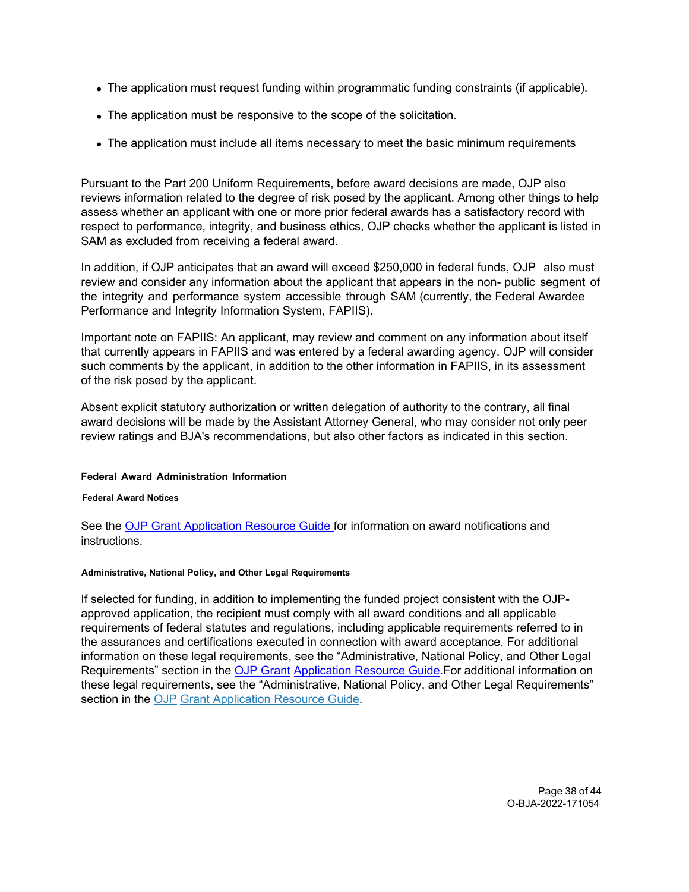- The application must request funding within programmatic funding constraints (if applicable).
- The application must be responsive to the scope of the solicitation.
- The application must include all items necessary to meet the basic minimum requirements

Pursuant to the Part 200 Uniform Requirements, before award decisions are made, OJP also reviews information related to the degree of risk posed by the applicant. Among other things to help assess whether an applicant with one or more prior federal awards has a satisfactory record with respect to performance, integrity, and business ethics, OJP checks whether the applicant is listed in SAM as excluded from receiving a federal award.

In addition, if OJP anticipates that an award will exceed \$250,000 in federal funds, OJP also must review and consider any information about the applicant that appears in the non- public segment of the integrity and performance system accessible through SAM (currently, the Federal Awardee Performance and Integrity Information System, FAPIIS).

Important note on FAPIIS: An applicant, may review and comment on any information about itself that currently appears in FAPIIS and was entered by a federal awarding agency. OJP will consider such comments by the applicant, in addition to the other information in FAPIIS, in its assessment of the risk posed by the applicant.

Absent explicit statutory authorization or written delegation of authority to the contrary, all final award decisions will be made by the Assistant Attorney General, who may consider not only peer review ratings and BJA's recommendations, but also other factors as indicated in this section.

#### <span id="page-37-0"></span>**Federal Award Administration Information**

#### <span id="page-37-1"></span>**Federal Award Notices**

See the [OJP Grant Application Resource Guide f](https://www.ojp.gov/funding/apply/ojp-grant-application-resource-guide#federal-award-notices)or information on award notifications and instructions.

#### <span id="page-37-2"></span>**Administrative, National Policy, and Other Legal Requirements**

If selected for funding, in addition to implementing the funded project consistent with the OJPapproved application, the recipient must comply with all award conditions and all applicable requirements of federal statutes and regulations, including applicable requirements referred to in the assurances and certifications executed in connection with award acceptance. For additional information on these legal requirements, see the "Administrative, National Policy, and Other Legal Requirements" section in the [OJP Grant](https://www.ojp.gov/funding/apply/ojp-grant-application-resource-guide#administrative) [Application Resource Guide.](https://www.ojp.gov/funding/apply/ojp-grant-application-resource-guide#administrative)For additional information on these legal requirements, see the "Administrative, National Policy, and Other Legal Requirements" section in the [OJP](https://www.ojp.gov/funding/apply/ojp-grant-application-resource-guide#administrative) [Grant Application Resource Guide.](https://www.ojp.gov/funding/apply/ojp-grant-application-resource-guide#administrative)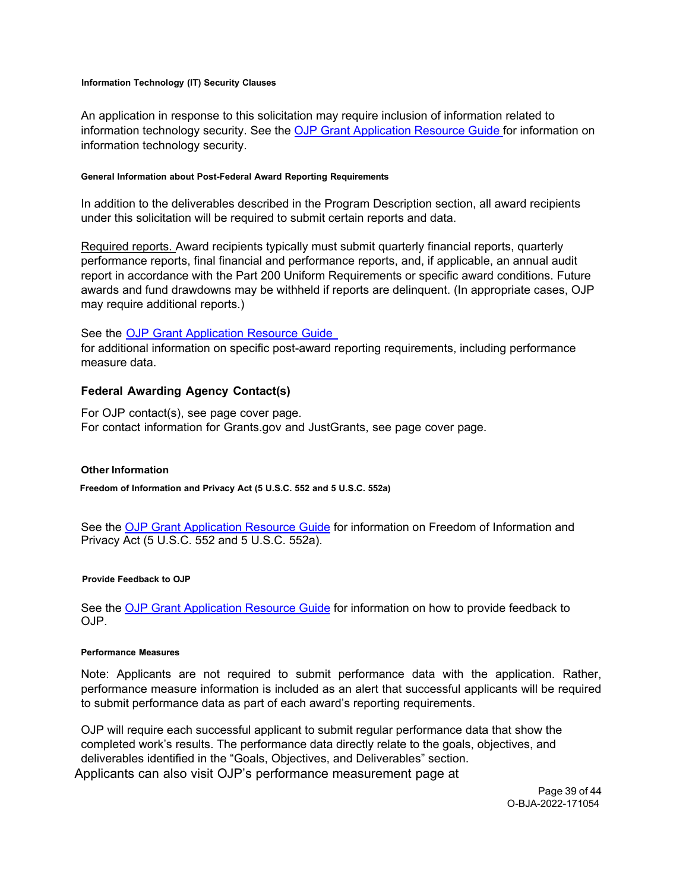#### <span id="page-38-0"></span>**Information Technology (IT) Security Clauses**

An application in response to this solicitation may require inclusion of information related to information technology security. See the [OJP Grant Application Resource Guide f](https://www.ojp.gov/funding/apply/ojp-grant-application-resource-guide#information-technology)or information on information technology security.

#### <span id="page-38-1"></span>**General Information about Post-Federal Award Reporting Requirements**

In addition to the deliverables described in the Program Description section, all award recipients under this solicitation will be required to submit certain reports and data.

Required reports. Award recipients typically must submit quarterly financial reports, quarterly performance reports, final financial and performance reports, and, if applicable, an annual audit report in accordance with the Part 200 Uniform Requirements or specific award conditions. Future awards and fund drawdowns may be withheld if reports are delinquent. (In appropriate cases, OJP may require additional reports.)

#### See the OJP Grant [Application](https://www.ojp.gov/funding/apply/ojp-grant-application-resource-guide#general-information) Resource Guide

for additional information on specific post-award reporting requirements, including performance measure data.

#### <span id="page-38-2"></span>**Federal Awarding Agency Contact(s)**

For OJP contact(s), see page cover page. For contact information for Grants.gov and JustGrants, see page cover page.

#### <span id="page-38-3"></span>**Other Information**

<span id="page-38-4"></span>**Freedom of Information and Privacy Act (5 U.S.C. 552 and 5 U.S.C. 552a)**

See the [OJP Grant Application Resource Guide](https://www.ojp.gov/funding/apply/ojp-grant-application-resource-guide#foia) for information on Freedom of Information and Privacy Act (5 U.S.C. 552 and 5 U.S.C. 552a).

#### <span id="page-38-5"></span>**Provide Feedback to OJP**

See the [OJP Grant Application Resource Guide](https://www.ojp.gov/funding/apply/ojp-grant-application-resource-guide#feedback) for information on how to provide feedback to OJP.

#### <span id="page-38-6"></span>**Performance Measures**

Note: Applicants are not required to submit performance data with the application. Rather, performance measure information is included as an alert that successful applicants will be required to submit performance data as part of each award's reporting requirements.

OJP will require each successful applicant to submit regular performance data that show the completed work's results. The performance data directly relate to the goals, objectives, and deliverables identified in the "Goals, Objectives, and Deliverables" section. Applicants can also visit OJP's performance measurement page at

> Page 39 of 44 O-BJA-2022-171054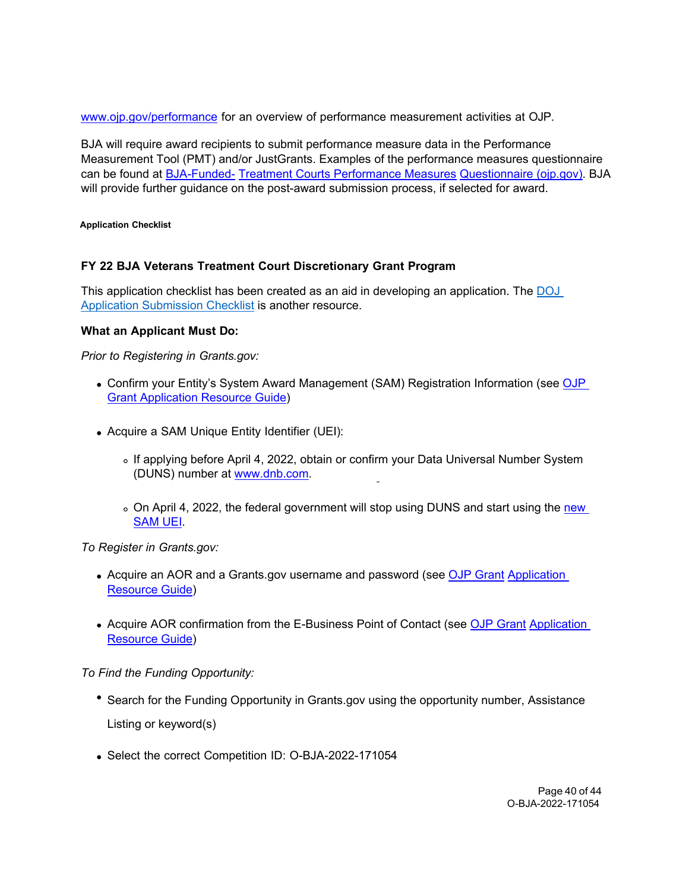[www.ojp.gov/performance](https://www.ojp.gov/performance) for an overview of performance measurement activities at OJP.

BJA will require award recipients to submit performance measure data in the Performance Measurement Tool (PMT) and/or JustGrants. Examples of the performance measures questionnaire can be found at [BJA-Funded- Treatment Courts Performance Measures](https://bja.ojp.gov/sites/g/files/xyckuh186/files/media/document/TreatmentCourt-Measures.pdf) [Questionnaire \(ojp.gov\).](https://bja.ojp.gov/sites/g/files/xyckuh186/files/media/document/TreatmentCourt-Measures.pdf) BJA will provide further guidance on the post-award submission process, if selected for award.

<span id="page-39-0"></span>**Application Checklist**

# **FY 22 BJA Veterans Treatment Court Discretionary Grant Program**

This application checklist has been created as an aid in developing an application. The [DOJ](https://justicegrants.usdoj.gov/sites/g/files/xyckuh296/files/media/document/appln-submission-checklist.pdf)  [Application Submission Checklist](https://justicegrants.usdoj.gov/sites/g/files/xyckuh296/files/media/document/appln-submission-checklist.pdf) is another resource.

## **What an Applicant Must Do:**

*Prior to Registering in Grants.gov:*

- Confirm your Entity's System Award Management (SAM) Registration Information (see OJP **[Grant Application Resource Guide\)](https://www.ojp.gov/funding/apply/ojp-grant-application-resource-guide#apply)**
- Acquire a SAM Unique Entity Identifier (UEI):
	- o If applying before April 4, 2022, obtain or confirm your Data Universal Number System (DUNS) number at [www.dnb.com.](http://www.dnb.com/)
	- o On April 4, 2022, the federal government will stop using DUNS and start using the new [SAM UEI.](https://justicegrants.usdoj.gov/resources/system-for-award-management#transition-to-unique-entity-id-sam)

*To Register in Grants.gov:*

- Acquire an AOR and a Grants.gov username and password (see [OJP Grant](https://www.ojp.gov/funding/apply/ojp-grant-application-resource-guide#apply) Application [Resource Guide\)](https://www.ojp.gov/funding/apply/ojp-grant-application-resource-guide#apply)
- Acquire AOR confirmation from the E-Business Point of Contact (see [OJP Grant](https://www.ojp.gov/funding/apply/ojp-grant-application-resource-guide#apply) Application [Resource Guide\)](https://www.ojp.gov/funding/apply/ojp-grant-application-resource-guide#apply)

*To Find the Funding Opportunity:*

- Search for the Funding Opportunity in Grants.gov using the opportunity number, Assistance Listing or keyword(s)
- Select the correct Competition ID: O-BJA-2022-171054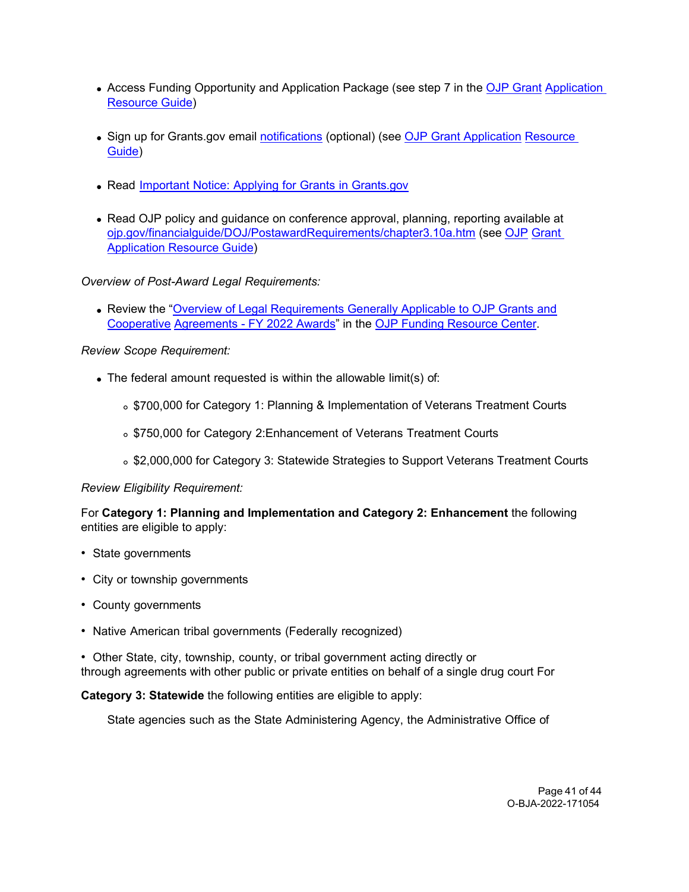- Access Funding Opportunity and Application Package (see step 7 in the [OJP Grant](https://www.ojp.gov/funding/apply/ojp-grant-application-resource-guide#apply) Application [Resource Guide\)](https://www.ojp.gov/funding/apply/ojp-grant-application-resource-guide#apply)
- Sign up for Grants.gov email [notifications](https://www.grants.gov/web/grants/manage-subscriptions.html) (optional) (see [OJP Grant Application](https://www.ojp.gov/funding/apply/ojp-grant-application-resource-guide#apply) Resource [Guide\)](https://www.ojp.gov/funding/apply/ojp-grant-application-resource-guide#apply)
- Read Important Notice: Applying for Grants in [Grants.gov](https://ojp.gov/funding/Apply/Grants-govInfo.htm)
- Read OJP policy and quidance on conference approval, planning, reporting available at [ojp.gov/financialguide/DOJ/PostawardRequirements/chapter3.10a.htm](https://ojp.gov/financialguide/DOJ/PostawardRequirements/chapter3.10a.htm) (see [OJP](https://www.ojp.gov/funding/apply/ojp-grant-application-resource-guide#prior-approval) [Grant](https://www.ojp.gov/funding/apply/ojp-grant-application-resource-guide#prior-approval)  [Application Resource Guide\)](https://www.ojp.gov/funding/apply/ojp-grant-application-resource-guide#prior-approval)

*Overview of Post-Award Legal Requirements:*

Review the ["Overview of Legal Requirements Generally Applicable to OJP Grants and](https://www.ojp.gov/funding/explore/legal-overview-fy-2022-awards) [Cooperative](https://www.ojp.gov/funding/explore/legal-overview-fy-2022-awards) [Agreements - FY 2022 Awards"](https://www.ojp.gov/funding/explore/legal-overview-fy-2022-awards) in the [OJP Funding Resource Center.](https://www.ojp.gov/funding/index.htm)

# *Review Scope Requirement:*

- The federal amount requested is within the allowable limit(s) of:
	- \$700,000 for Category 1: Planning & Implementation of Veterans Treatment Courts
	- \$750,000 for Category 2:Enhancement of Veterans Treatment Courts
	- $\circ$  \$2,000,000 for Category 3: Statewide Strategies to Support Veterans Treatment Courts

## *Review Eligibility Requirement:*

For **Category 1: Planning and Implementation and Category 2: Enhancement** the following entities are eligible to apply:

- State governments
- City or township governments
- County governments
- Native American tribal governments (Federally recognized)
- Other State, city, township, county, or tribal government acting directly or through agreements with other public or private entities on behalf of a single drug court For

**Category 3: Statewide** the following entities are eligible to apply:

State agencies such as the State Administering Agency, the Administrative Office of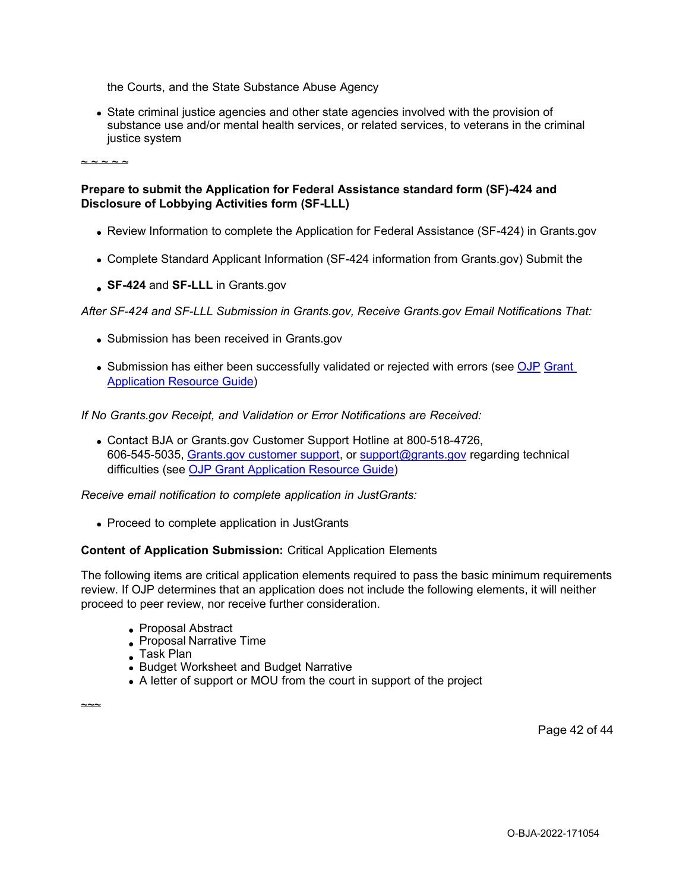the Courts, and the State Substance Abuse Agency

State criminal justice agencies and other state agencies involved with the provision of substance use and/or mental health services, or related services, to veterans in the criminal justice system

 $\sim$   $\sim$   $\sim$   $\sim$   $\sim$ 

## **Prepare to submit the Application for Federal Assistance standard form (SF)-424 and Disclosure of Lobbying Activities form (SF-LLL)**

- Review Information to complete the Application for Federal Assistance (SF-424) in Grants.gov
- Complete Standard Applicant Information (SF-424 information from Grants.gov) Submit the
- **SF-424** and **SF-LLL** in Grants.gov

*After SF-424 and SF-LLL Submission in Grants.gov, Receive Grants.gov Email Notifications That:*

- Submission has been received in Grants.gov
- Submission has either been successfully validated or rejected with errors (see [OJP](https://www.ojp.gov/funding/apply/ojp-grant-application-resource-guide#apply) Grant [Application Resource Guide\)](https://www.ojp.gov/funding/apply/ojp-grant-application-resource-guide#apply)

*If No Grants.gov Receipt, and Validation or Error Notifications are Received:*

Contact BJA or Grants.gov Customer Support Hotline at 800-518-4726, 606-545-5035, [Grants.gov customer support,](https://www.grants.gov/web/grants/support.html) or [support@grants.gov](mailto:support@grants.gov) regarding technical difficulties (see [OJP Grant Application Resource Guide\)](https://www.ojp.gov/funding/apply/ojp-grant-application-resource-guide#apply)

*Receive email notification to complete application in JustGrants:*

• Proceed to complete application in JustGrants

## **Content of Application Submission:** Critical Application Elements

The following items are critical application elements required to pass the basic minimum requirements review. If OJP determines that an application does not include the following elements, it will neither proceed to peer review, nor receive further consideration.

- Proposal Abstract
- Proposal Narrative Time
- Task Plan

 $~\sim~$ 

- Budget Worksheet and Budget Narrative
- A letter of support or MOU from the court in support of the project

Page 42 of 44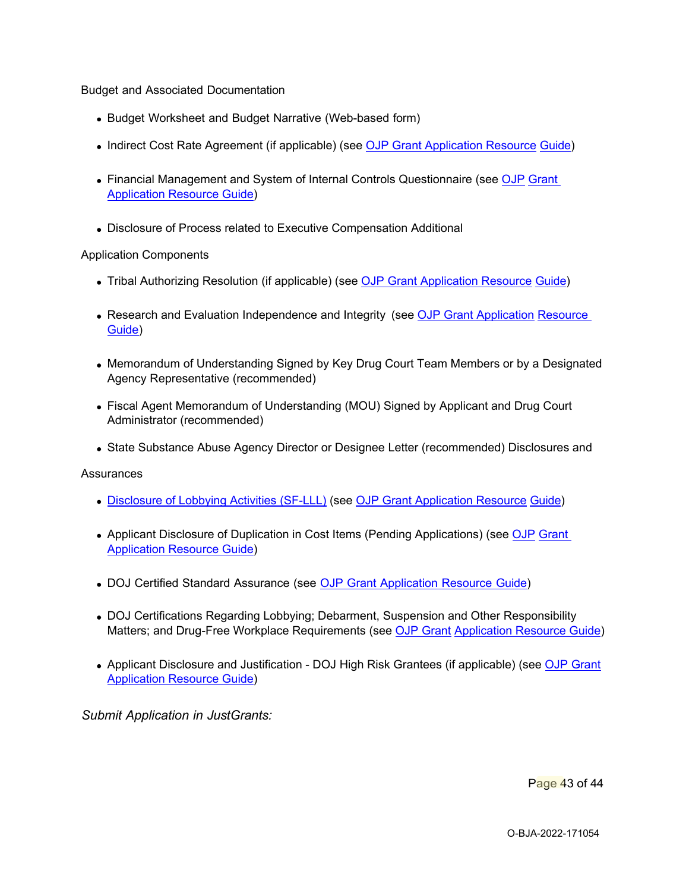Budget and Associated Documentation

- Budget Worksheet and Budget Narrative (Web-based form)
- Indirect Cost Rate Agreement (if applicable) (see [OJP Grant Application Resource](https://www.ojp.gov/funding/apply/ojp-grant-application-resource-guide#indirect-cost) [Guide\)](https://www.ojp.gov/funding/apply/ojp-grant-application-resource-guide#indirect-cost)
- Financial Management and System of Internal Controls Questionnaire (see [OJP](https://www.ojp.gov/funding/apply/ojp-grant-application-resource-guide#fm-internal-controls-questionnaire) Grant [Application Resource Guide\)](https://www.ojp.gov/funding/apply/ojp-grant-application-resource-guide#fm-internal-controls-questionnaire)
- Disclosure of Process related to Executive Compensation Additional

#### Application Components

- Tribal Authorizing Resolution (if applicable) (see [OJP Grant Application Resource](https://www.ojp.gov/funding/apply/ojp-grant-application-resource-guide#tribal-authorizing-resolution) [Guide\)](https://www.ojp.gov/funding/apply/ojp-grant-application-resource-guide#tribal-authorizing-resolution)
- Research and Evaluation Independence and Integrity (see [OJP Grant Application](https://www.ojp.gov/funding/apply/ojp-grant-application-resource-guide#research-evaluation) Resource [Guide\)](https://www.ojp.gov/funding/apply/ojp-grant-application-resource-guide#research-evaluation)
- Memorandum of Understanding Signed by Key Drug Court Team Members or by a Designated Agency Representative (recommended)
- Fiscal Agent Memorandum of Understanding (MOU) Signed by Applicant and Drug Court Administrator (recommended)
- State Substance Abuse Agency Director or Designee Letter (recommended) Disclosures and

**Assurances** 

- [Disclosure of Lobbying Activities \(SF-LLL\)](https://ojp.gov/funding/Apply/Resources/Disclosure.pdf) (see [OJP Grant Application Resource](https://www.ojp.gov/funding/apply/ojp-grant-application-resource-guide#apply) [Guide\)](https://www.ojp.gov/funding/apply/ojp-grant-application-resource-guide#apply)
- Applicant Disclosure of Duplication in Cost Items (Pending Applications) (see [OJP](https://www.ojp.gov/funding/apply/ojp-grant-application-resource-guide#applicant-disclosure-pending-applications) [Grant](https://www.ojp.gov/funding/apply/ojp-grant-application-resource-guide#applicant-disclosure-pending-applications)  [Application Resource Guide\)](https://www.ojp.gov/funding/apply/ojp-grant-application-resource-guide#applicant-disclosure-pending-applications)
- DOJ Certified Standard Assurance (see OJP Grant [Application](https://www.ojp.gov/funding/apply/ojp-grant-application-resource-guide#administrative) Resource Guide)
- DOJ Certifications Regarding Lobbying; Debarment, Suspension and Other Responsibility Matters; and Drug-Free Workplace Requirements (see [OJP Grant](https://www.ojp.gov/funding/apply/ojp-grant-application-resource-guide#administrative) [Application Resource Guide\)](https://www.ojp.gov/funding/apply/ojp-grant-application-resource-guide#administrative)
- Applicant Disclosure and Justification DOJ High Risk Grantees (if applicable) (see OJP Grant [Application Resource Guide\)](https://www.ojp.gov/funding/apply/ojp-grant-application-resource-guide#applicant-disclosure-justification)

*Submit Application in JustGrants:*

Page 43 of 44